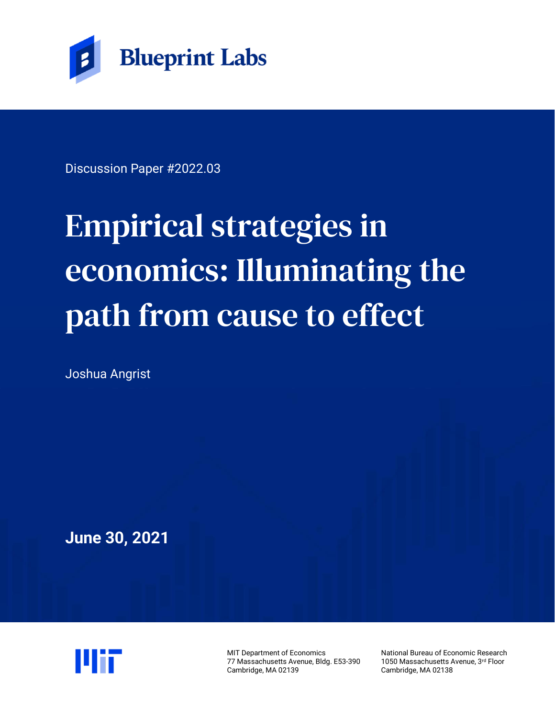

Discussion Paper #2022.03

# Empirical strategies in economics: Illuminating the path from cause to effect

Joshua Angrist

**June 30, 2021**



MIT Department of Economics 77 Massachusetts Avenue, Bldg. E53-390 Cambridge, MA 02139

National Bureau of Economic Research 1050 Massachusetts Avenue, 3rd Floor Cambridge, MA 02138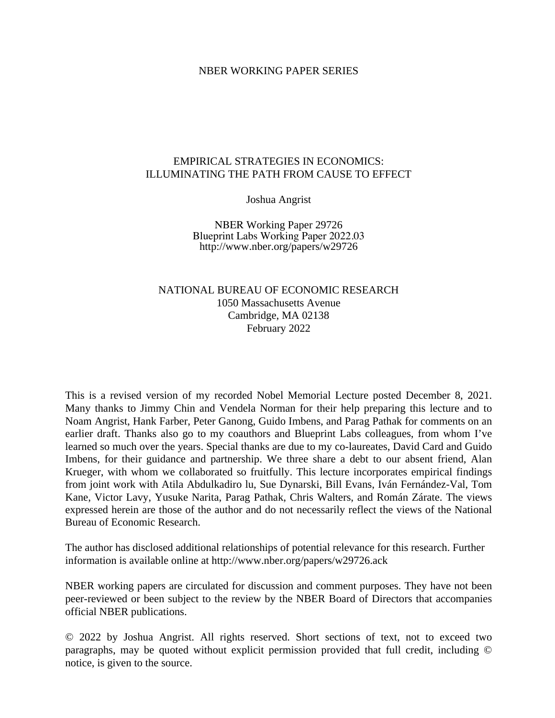#### NBER WORKING PAPER SERIES

#### EMPIRICAL STRATEGIES IN ECONOMICS: ILLUMINATING THE PATH FROM CAUSE TO EFFECT

Joshua Angrist

NBER Working Paper 29726 Blueprint Labs Working Paper 2022.03 http://www.nber.org/papers/w29726

## NATIONAL BUREAU OF ECONOMIC RESEARCH 1050 Massachusetts Avenue Cambridge, MA 02138 February 2022

This is a revised version of my recorded Nobel Memorial Lecture posted December 8, 2021. Many thanks to Jimmy Chin and Vendela Norman for their help preparing this lecture and to Noam Angrist, Hank Farber, Peter Ganong, Guido Imbens, and Parag Pathak for comments on an earlier draft. Thanks also go to my coauthors and Blueprint Labs colleagues, from whom I've learned so much over the years. Special thanks are due to my co-laureates, David Card and Guido Imbens, for their guidance and partnership. We three share a debt to our absent friend, Alan Krueger, with whom we collaborated so fruitfully. This lecture incorporates empirical findings from joint work with Atila Abdulkadiro lu, Sue Dynarski, Bill Evans, Iván Fernández-Val, Tom Kane, Victor Lavy, Yusuke Narita, Parag Pathak, Chris Walters, and Román Zárate. The views expressed herein are those of the author and do not necessarily reflect the views of the National Bureau of Economic Research.

The author has disclosed additional relationships of potential relevance for this research. Further information is available online at http://www.nber.org/papers/w29726.ack

NBER working papers are circulated for discussion and comment purposes. They have not been peer-reviewed or been subject to the review by the NBER Board of Directors that accompanies official NBER publications.

© 2022 by Joshua Angrist. All rights reserved. Short sections of text, not to exceed two paragraphs, may be quoted without explicit permission provided that full credit, including © notice, is given to the source.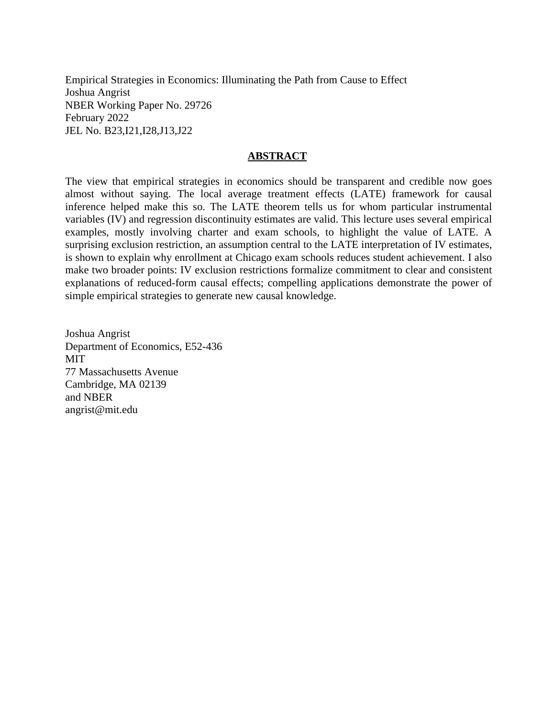Empirical Strategies in Economics: Illuminating the Path from Cause to Effect Joshua Angrist NBER Working Paper No. 29726 February 2022 JEL No. B23,I21,I28,J13,J22

#### **ABSTRACT**

The view that empirical strategies in economics should be transparent and credible now goes almost without saying. The local average treatment effects (LATE) framework for causal inference helped make this so. The LATE theorem tells us for whom particular instrumental variables (IV) and regression discontinuity estimates are valid. This lecture uses several empirical examples, mostly involving charter and exam schools, to highlight the value of LATE. A surprising exclusion restriction, an assumption central to the LATE interpretation of IV estimates, is shown to explain why enrollment at Chicago exam schools reduces student achievement. I also make two broader points: IV exclusion restrictions formalize commitment to clear and consistent explanations of reduced-form causal effects; compelling applications demonstrate the power of simple empirical strategies to generate new causal knowledge.

Joshua Angrist Department of Economics, E52-436 MIT 77 Massachusetts Avenue Cambridge, MA 02139 and NBER angrist@mit.edu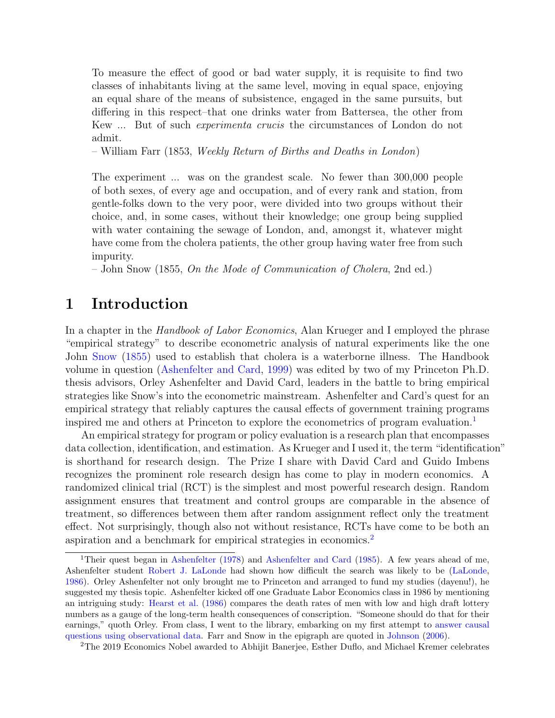To measure the effect of good or bad water supply, it is requisite to find two classes of inhabitants living at the same level, moving in equal space, enjoying an equal share of the means of subsistence, engaged in the same pursuits, but differing in this respect–that one drinks water from Battersea, the other from Kew ... But of such experimenta crucis the circumstances of London do not admit.

– William Farr (1853, Weekly Return of Births and Deaths in London)

The experiment ... was on the grandest scale. No fewer than 300,000 people of both sexes, of every age and occupation, and of every rank and station, from gentle-folks down to the very poor, were divided into two groups without their choice, and, in some cases, without their knowledge; one group being supplied with water containing the sewage of London, and, amongst it, whatever might have come from the cholera patients, the other group having water free from such impurity.

– John Snow (1855, On the Mode of Communication of Cholera, 2nd ed.)

# 1 Introduction

In a chapter in the *Handbook of Labor Economics*, Alan Krueger and I employed the phrase "empirical strategy" to describe econometric analysis of natural experiments like the one John [Snow](#page-30-0) [\(1855\)](#page-30-0) used to establish that cholera is a waterborne illness. The Handbook volume in question [\(Ashenfelter and Card,](#page-26-0) [1999\)](#page-26-0) was edited by two of my Princeton Ph.D. thesis advisors, Orley Ashenfelter and David Card, leaders in the battle to bring empirical strategies like Snow's into the econometric mainstream. Ashenfelter and Card's quest for an empirical strategy that reliably captures the causal effects of government training programs inspired me and others at Princeton to explore the econometrics of program evaluation.<sup>[1](#page-3-0)</sup>

An empirical strategy for program or policy evaluation is a research plan that encompasses data collection, identification, and estimation. As Krueger and I used it, the term "identification" is shorthand for research design. The Prize I share with David Card and Guido Imbens recognizes the prominent role research design has come to play in modern economics. A randomized clinical trial (RCT) is the simplest and most powerful research design. Random assignment ensures that treatment and control groups are comparable in the absence of treatment, so differences between them after random assignment reflect only the treatment effect. Not surprisingly, though also not without resistance, RCTs have come to be both an aspiration and a benchmark for empirical strategies in economics.[2](#page-3-1)

<span id="page-3-0"></span><sup>&</sup>lt;sup>1</sup>Their quest began in [Ashenfelter](#page-26-1) [\(1978\)](#page-26-1) and [Ashenfelter and Card](#page-26-2) [\(1985\)](#page-26-2). A few years ahead of me, Ashenfelter student [Robert J. LaLonde](https://en.wikipedia.org/wiki/Robert_LaLonde) had shown how difficult the search was likely to be [\(LaLonde,](#page-29-0) [1986\)](#page-29-0). Orley Ashenfelter not only brought me to Princeton and arranged to fund my studies (dayenu!), he suggested my thesis topic. Ashenfelter kicked off one Graduate Labor Economics class in 1986 by mentioning an intriguing study: [Hearst et al.](#page-28-0) [\(1986\)](#page-28-0) compares the death rates of men with low and high draft lottery numbers as a gauge of the long-term health consequences of conscription. "Someone should do that for their earnings," quoth Orley. From class, I went to the library, embarking on my first attempt to [answer causal](https://www.nobelprize.org/uploads/2021/10/advanced-economicsciencesprize2021.pdf) [questions using observational data.](https://www.nobelprize.org/uploads/2021/10/advanced-economicsciencesprize2021.pdf) Farr and Snow in the epigraph are quoted in [Johnson](#page-29-1) [\(2006\)](#page-29-1).

<span id="page-3-1"></span><sup>2</sup>The 2019 Economics Nobel awarded to Abhijit Banerjee, Esther Duflo, and Michael Kremer celebrates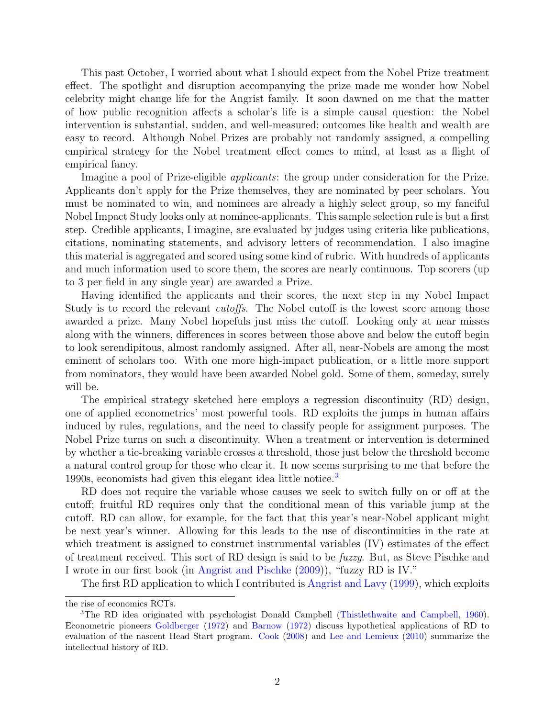This past October, I worried about what I should expect from the Nobel Prize treatment effect. The spotlight and disruption accompanying the prize made me wonder how Nobel celebrity might change life for the Angrist family. It soon dawned on me that the matter of how public recognition affects a scholar's life is a simple causal question: the Nobel intervention is substantial, sudden, and well-measured; outcomes like health and wealth are easy to record. Although Nobel Prizes are probably not randomly assigned, a compelling empirical strategy for the Nobel treatment effect comes to mind, at least as a flight of empirical fancy.

Imagine a pool of Prize-eligible *applicants*: the group under consideration for the Prize. Applicants don't apply for the Prize themselves, they are nominated by peer scholars. You must be nominated to win, and nominees are already a highly select group, so my fanciful Nobel Impact Study looks only at nominee-applicants. This sample selection rule is but a first step. Credible applicants, I imagine, are evaluated by judges using criteria like publications, citations, nominating statements, and advisory letters of recommendation. I also imagine this material is aggregated and scored using some kind of rubric. With hundreds of applicants and much information used to score them, the scores are nearly continuous. Top scorers (up to 3 per field in any single year) are awarded a Prize.

Having identified the applicants and their scores, the next step in my Nobel Impact Study is to record the relevant *cutoffs*. The Nobel cutoff is the lowest score among those awarded a prize. Many Nobel hopefuls just miss the cutoff. Looking only at near misses along with the winners, differences in scores between those above and below the cutoff begin to look serendipitous, almost randomly assigned. After all, near-Nobels are among the most eminent of scholars too. With one more high-impact publication, or a little more support from nominators, they would have been awarded Nobel gold. Some of them, someday, surely will be.

The empirical strategy sketched here employs a regression discontinuity (RD) design, one of applied econometrics' most powerful tools. RD exploits the jumps in human affairs induced by rules, regulations, and the need to classify people for assignment purposes. The Nobel Prize turns on such a discontinuity. When a treatment or intervention is determined by whether a tie-breaking variable crosses a threshold, those just below the threshold become a natural control group for those who clear it. It now seems surprising to me that before the 1990s, economists had given this elegant idea little notice.<sup>[3](#page-4-0)</sup>

RD does not require the variable whose causes we seek to switch fully on or off at the cutoff; fruitful RD requires only that the conditional mean of this variable jump at the cutoff. RD can allow, for example, for the fact that this year's near-Nobel applicant might be next year's winner. Allowing for this leads to the use of discontinuities in the rate at which treatment is assigned to construct instrumental variables (IV) estimates of the effect of treatment received. This sort of RD design is said to be fuzzy. But, as Steve Pischke and I wrote in our first book (in [Angrist and Pischke](#page-26-3) [\(2009\)](#page-26-3)), "fuzzy RD is IV."

The first RD application to which I contributed is [Angrist and Lavy](#page-26-4) [\(1999\)](#page-26-4), which exploits

the rise of economics RCTs.

<span id="page-4-0"></span><sup>3</sup>The RD idea originated with psychologist Donald Campbell [\(Thistlethwaite and Campbell,](#page-30-1) [1960\)](#page-30-1). Econometric pioneers [Goldberger](#page-28-1) [\(1972\)](#page-28-1) and [Barnow](#page-27-0) [\(1972\)](#page-27-0) discuss hypothetical applications of RD to evaluation of the nascent Head Start program. [Cook](#page-27-1) [\(2008\)](#page-27-1) and [Lee and Lemieux](#page-29-2) [\(2010\)](#page-29-2) summarize the intellectual history of RD.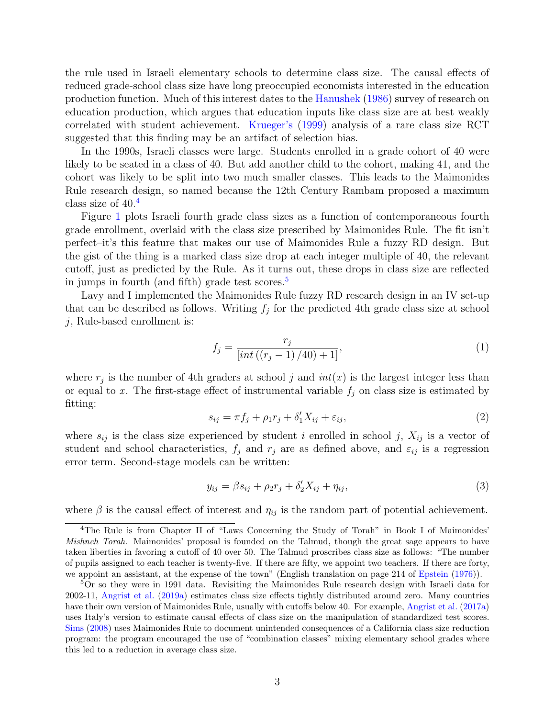the rule used in Israeli elementary schools to determine class size. The causal effects of reduced grade-school class size have long preoccupied economists interested in the education production function. Much of this interest dates to the [Hanushek](#page-28-2) [\(1986\)](#page-28-2) survey of research on education production, which argues that education inputs like class size are at best weakly correlated with student achievement. [Krueger'](#page-29-3)s [\(1999\)](#page-29-3) analysis of a rare class size RCT suggested that this finding may be an artifact of selection bias.

In the 1990s, Israeli classes were large. Students enrolled in a grade cohort of 40 were likely to be seated in a class of 40. But add another child to the cohort, making 41, and the cohort was likely to be split into two much smaller classes. This leads to the Maimonides Rule research design, so named because the 12th Century Rambam proposed a maximum class size of 40.[4](#page-5-0)

Figure [1](#page-31-0) plots Israeli fourth grade class sizes as a function of contemporaneous fourth grade enrollment, overlaid with the class size prescribed by Maimonides Rule. The fit isn't perfect–it's this feature that makes our use of Maimonides Rule a fuzzy RD design. But the gist of the thing is a marked class size drop at each integer multiple of 40, the relevant cutoff, just as predicted by the Rule. As it turns out, these drops in class size are reflected in jumps in fourth (and fifth) grade test scores. $5$ 

Lavy and I implemented the Maimonides Rule fuzzy RD research design in an IV set-up that can be described as follows. Writing  $f_j$  for the predicted 4th grade class size at school  $j$ , Rule-based enrollment is:

$$
f_j = \frac{r_j}{\left[ int \left( (r_j - 1) / 40 \right) + 1 \right]},\tag{1}
$$

where  $r_j$  is the number of 4th graders at school j and  $int(x)$  is the largest integer less than or equal to x. The first-stage effect of instrumental variable  $f_j$  on class size is estimated by fitting:

<span id="page-5-2"></span>
$$
s_{ij} = \pi f_j + \rho_1 r_j + \delta'_1 X_{ij} + \varepsilon_{ij},\tag{2}
$$

where  $s_{ij}$  is the class size experienced by student i enrolled in school j,  $X_{ij}$  is a vector of student and school characteristics,  $f_j$  and  $r_j$  are as defined above, and  $\varepsilon_{ij}$  is a regression error term. Second-stage models can be written:

<span id="page-5-3"></span>
$$
y_{ij} = \beta s_{ij} + \rho_2 r_j + \delta'_2 X_{ij} + \eta_{ij},\tag{3}
$$

where  $\beta$  is the causal effect of interest and  $\eta_{ij}$  is the random part of potential achievement.

<span id="page-5-0"></span><sup>4</sup>The Rule is from Chapter II of "Laws Concerning the Study of Torah" in Book I of Maimonides' Mishneh Torah. Maimonides' proposal is founded on the Talmud, though the great sage appears to have taken liberties in favoring a cutoff of 40 over 50. The Talmud proscribes class size as follows: "The number of pupils assigned to each teacher is twenty-five. If there are fifty, we appoint two teachers. If there are forty, we appoint an assistant, at the expense of the town" (English translation on page 214 of [Epstein](#page-28-3) [\(1976\)](#page-28-3)).

<span id="page-5-1"></span><sup>5</sup>Or so they were in 1991 data. Revisiting the Maimonides Rule research design with Israeli data for 2002-11, [Angrist et al.](#page-26-5) [\(2019a\)](#page-26-5) estimates class size effects tightly distributed around zero. Many countries have their own version of Maimonides Rule, usually with cutoffs below 40. For example, [Angrist et al.](#page-25-0) [\(2017a\)](#page-25-0) uses Italy's version to estimate causal effects of class size on the manipulation of standardized test scores. [Sims](#page-30-2) [\(2008\)](#page-30-2) uses Maimonides Rule to document unintended consequences of a California class size reduction program: the program encouraged the use of "combination classes" mixing elementary school grades where this led to a reduction in average class size.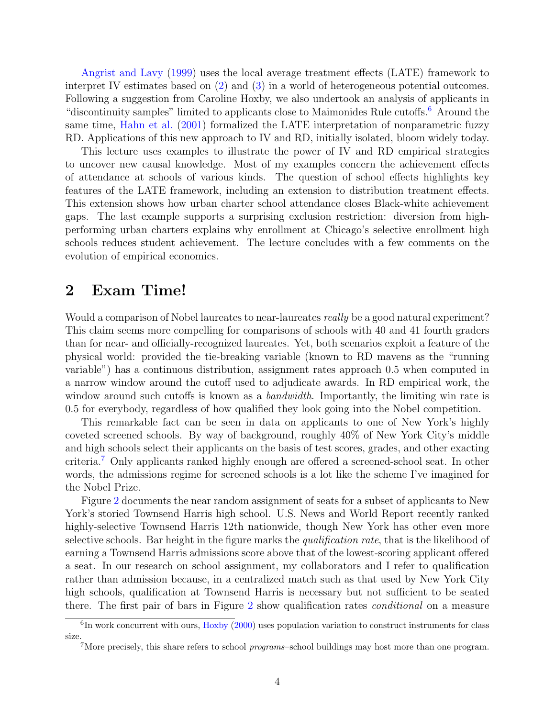[Angrist and Lavy](#page-26-4) [\(1999\)](#page-26-4) uses the local average treatment effects (LATE) framework to interpret IV estimates based on [\(2\)](#page-5-2) and [\(3\)](#page-5-3) in a world of heterogeneous potential outcomes. Following a suggestion from Caroline Hoxby, we also undertook an analysis of applicants in "discontinuity samples" limited to applicants close to Maimonides Rule cutoffs.[6](#page-6-0) Around the same time, [Hahn et al.](#page-28-4) [\(2001\)](#page-28-4) formalized the LATE interpretation of nonparametric fuzzy RD. Applications of this new approach to IV and RD, initially isolated, bloom widely today.

This lecture uses examples to illustrate the power of IV and RD empirical strategies to uncover new causal knowledge. Most of my examples concern the achievement effects of attendance at schools of various kinds. The question of school effects highlights key features of the LATE framework, including an extension to distribution treatment effects. This extension shows how urban charter school attendance closes Black-white achievement gaps. The last example supports a surprising exclusion restriction: diversion from highperforming urban charters explains why enrollment at Chicago's selective enrollment high schools reduces student achievement. The lecture concludes with a few comments on the evolution of empirical economics.

## 2 Exam Time!

Would a comparison of Nobel laureates to near-laureates *really* be a good natural experiment? This claim seems more compelling for comparisons of schools with 40 and 41 fourth graders than for near- and officially-recognized laureates. Yet, both scenarios exploit a feature of the physical world: provided the tie-breaking variable (known to RD mavens as the "running variable") has a continuous distribution, assignment rates approach 0.5 when computed in a narrow window around the cutoff used to adjudicate awards. In RD empirical work, the window around such cutoffs is known as a *bandwidth*. Importantly, the limiting win rate is 0.5 for everybody, regardless of how qualified they look going into the Nobel competition.

This remarkable fact can be seen in data on applicants to one of New York's highly coveted screened schools. By way of background, roughly 40% of New York City's middle and high schools select their applicants on the basis of test scores, grades, and other exacting criteria.[7](#page-6-1) Only applicants ranked highly enough are offered a screened-school seat. In other words, the admissions regime for screened schools is a lot like the scheme I've imagined for the Nobel Prize.

Figure [2](#page-32-0) documents the near random assignment of seats for a subset of applicants to New York's storied Townsend Harris high school. U.S. News and World Report recently ranked highly-selective Townsend Harris 12th nationwide, though New York has other even more selective schools. Bar height in the figure marks the *qualification rate*, that is the likelihood of earning a Townsend Harris admissions score above that of the lowest-scoring applicant offered a seat. In our research on school assignment, my collaborators and I refer to qualification rather than admission because, in a centralized match such as that used by New York City high schools, qualification at Townsend Harris is necessary but not sufficient to be seated there. The first pair of bars in Figure [2](#page-32-0) show qualification rates conditional on a measure

<span id="page-6-0"></span><sup>&</sup>lt;sup>6</sup>In work concurrent with ours, [Hoxby](#page-29-4) [\(2000\)](#page-29-4) uses population variation to construct instruments for class size.

<span id="page-6-1"></span><sup>&</sup>lt;sup>7</sup>More precisely, this share refers to school *programs*–school buildings may host more than one program.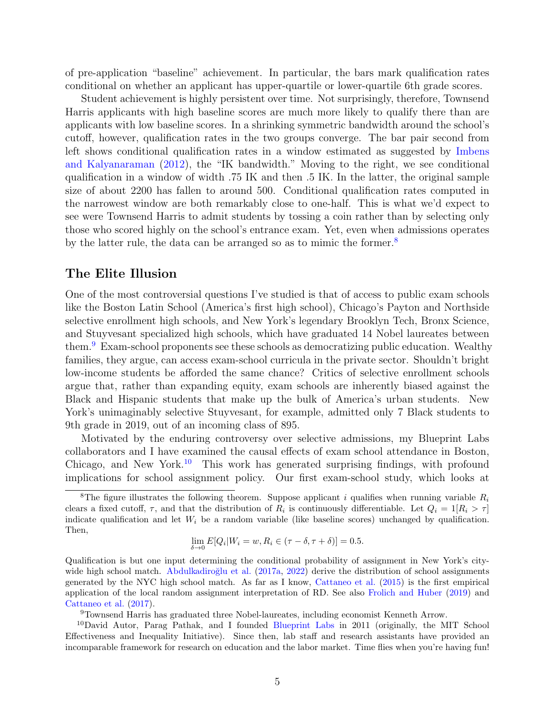of pre-application "baseline" achievement. In particular, the bars mark qualification rates conditional on whether an applicant has upper-quartile or lower-quartile 6th grade scores.

Student achievement is highly persistent over time. Not surprisingly, therefore, Townsend Harris applicants with high baseline scores are much more likely to qualify there than are applicants with low baseline scores. In a shrinking symmetric bandwidth around the school's cutoff, however, qualification rates in the two groups converge. The bar pair second from left shows conditional qualification rates in a window estimated as suggested by [Imbens](#page-29-5) [and Kalyanaraman](#page-29-5) [\(2012\)](#page-29-5), the "IK bandwidth." Moving to the right, we see conditional qualification in a window of width .75 IK and then .5 IK. In the latter, the original sample size of about 2200 has fallen to around 500. Conditional qualification rates computed in the narrowest window are both remarkably close to one-half. This is what we'd expect to see were Townsend Harris to admit students by tossing a coin rather than by selecting only those who scored highly on the school's entrance exam. Yet, even when admissions operates by the latter rule, the data can be arranged so as to mimic the former.<sup>[8](#page-7-0)</sup>

#### The Elite Illusion

One of the most controversial questions I've studied is that of access to public exam schools like the Boston Latin School (America's first high school), Chicago's Payton and Northside selective enrollment high schools, and New York's legendary Brooklyn Tech, Bronx Science, and Stuyvesant specialized high schools, which have graduated 14 Nobel laureates between them.[9](#page-7-1) Exam-school proponents see these schools as democratizing public education. Wealthy families, they argue, can access exam-school curricula in the private sector. Shouldn't bright low-income students be afforded the same chance? Critics of selective enrollment schools argue that, rather than expanding equity, exam schools are inherently biased against the Black and Hispanic students that make up the bulk of America's urban students. New York's unimaginably selective Stuyvesant, for example, admitted only 7 Black students to 9th grade in 2019, out of an incoming class of 895.

Motivated by the enduring controversy over selective admissions, my Blueprint Labs collaborators and I have examined the causal effects of exam school attendance in Boston, Chicago, and New York.<sup>[10](#page-7-2)</sup> This work has generated surprising findings, with profound implications for school assignment policy. Our first exam-school study, which looks at

$$
\lim_{\delta \to 0} E[Q_i|W_i = w, R_i \in (\tau - \delta, \tau + \delta)] = 0.5.
$$

Qualification is but one input determining the conditional probability of assignment in New York's city-wide high school match. Abdulkadiroğlu et al. [\(2017a,](#page-24-0) [2022\)](#page-24-1) derive the distribution of school assignments generated by the NYC high school match. As far as I know, [Cattaneo et al.](#page-27-2) [\(2015\)](#page-27-2) is the first empirical application of the local random assignment interpretation of RD. See also [Frolich and Huber](#page-28-5) [\(2019\)](#page-28-5) and [Cattaneo et al.](#page-27-3) [\(2017\)](#page-27-3).

<span id="page-7-2"></span><span id="page-7-1"></span><sup>9</sup>Townsend Harris has graduated three Nobel-laureates, including economist Kenneth Arrow.

<sup>10</sup>David Autor, Parag Pathak, and I founded [Blueprint Labs](https://blueprintlabs.mit.edu/) in 2011 (originally, the MIT School Effectiveness and Inequality Initiative). Since then, lab staff and research assistants have provided an incomparable framework for research on education and the labor market. Time flies when you're having fun!

<span id="page-7-0"></span><sup>&</sup>lt;sup>8</sup>The figure illustrates the following theorem. Suppose applicant i qualifies when running variable  $R_i$ clears a fixed cutoff,  $\tau$ , and that the distribution of  $R_i$  is continuously differentiable. Let  $Q_i = 1[R_i > \tau]$ indicate qualification and let  $W_i$  be a random variable (like baseline scores) unchanged by qualification. Then,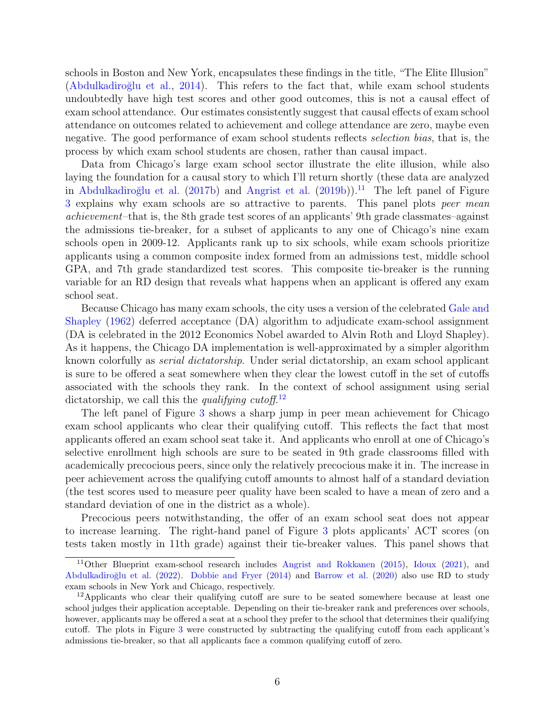schools in Boston and New York, encapsulates these findings in the title, "The Elite Illusion" (Abdulkadiroğlu et al., [2014\)](#page-24-2). This refers to the fact that, while exam school students undoubtedly have high test scores and other good outcomes, this is not a causal effect of exam school attendance. Our estimates consistently suggest that causal effects of exam school attendance on outcomes related to achievement and college attendance are zero, maybe even negative. The good performance of exam school students reflects selection bias, that is, the process by which exam school students are chosen, rather than causal impact.

Data from Chicago's large exam school sector illustrate the elite illusion, while also laying the foundation for a causal story to which I'll return shortly (these data are analyzed in Abdulkadiroğlu et al. [\(2017b\)](#page-24-3) and [Angrist et al.](#page-26-6) [\(2019b\)](#page-26-6)).<sup>[11](#page-8-0)</sup> The left panel of Figure [3](#page-33-0) explains why exam schools are so attractive to parents. This panel plots peer mean achievement–that is, the 8th grade test scores of an applicants' 9th grade classmates–against the admissions tie-breaker, for a subset of applicants to any one of Chicago's nine exam schools open in 2009-12. Applicants rank up to six schools, while exam schools prioritize applicants using a common composite index formed from an admissions test, middle school GPA, and 7th grade standardized test scores. This composite tie-breaker is the running variable for an RD design that reveals what happens when an applicant is offered any exam school seat.

Because Chicago has many exam schools, the city uses a version of the celebrated [Gale and](#page-28-6) [Shapley](#page-28-6) [\(1962\)](#page-28-6) deferred acceptance (DA) algorithm to adjudicate exam-school assignment (DA is celebrated in the 2012 Economics Nobel awarded to Alvin Roth and Lloyd Shapley). As it happens, the Chicago DA implementation is well-approximated by a simpler algorithm known colorfully as serial dictatorship. Under serial dictatorship, an exam school applicant is sure to be offered a seat somewhere when they clear the lowest cutoff in the set of cutoffs associated with the schools they rank. In the context of school assignment using serial dictatorship, we call this the qualifying cutoff.<sup>[12](#page-8-1)</sup>

The left panel of Figure [3](#page-33-0) shows a sharp jump in peer mean achievement for Chicago exam school applicants who clear their qualifying cutoff. This reflects the fact that most applicants offered an exam school seat take it. And applicants who enroll at one of Chicago's selective enrollment high schools are sure to be seated in 9th grade classrooms filled with academically precocious peers, since only the relatively precocious make it in. The increase in peer achievement across the qualifying cutoff amounts to almost half of a standard deviation (the test scores used to measure peer quality have been scaled to have a mean of zero and a standard deviation of one in the district as a whole).

Precocious peers notwithstanding, the offer of an exam school seat does not appear to increase learning. The right-hand panel of Figure [3](#page-33-0) plots applicants' ACT scores (on tests taken mostly in 11th grade) against their tie-breaker values. This panel shows that

<span id="page-8-0"></span><sup>&</sup>lt;sup>11</sup>Other Blueprint exam-school research includes [Angrist and Rokkanen](#page-26-7) [\(2015\)](#page-26-7), [Idoux](#page-29-6) [\(2021\)](#page-29-6), and Abdulkadiroğlu et al. [\(2022\)](#page-24-1). [Dobbie and Fryer](#page-28-7) [\(2014\)](#page-28-7) and [Barrow et al.](#page-27-4) [\(2020\)](#page-27-4) also use RD to study exam schools in New York and Chicago, respectively.

<span id="page-8-1"></span><sup>&</sup>lt;sup>12</sup>Applicants who clear their qualifying cutoff are sure to be seated somewhere because at least one school judges their application acceptable. Depending on their tie-breaker rank and preferences over schools, however, applicants may be offered a seat at a school they prefer to the school that determines their qualifying cutoff. The plots in Figure [3](#page-33-0) were constructed by subtracting the qualifying cutoff from each applicant's admissions tie-breaker, so that all applicants face a common qualifying cutoff of zero.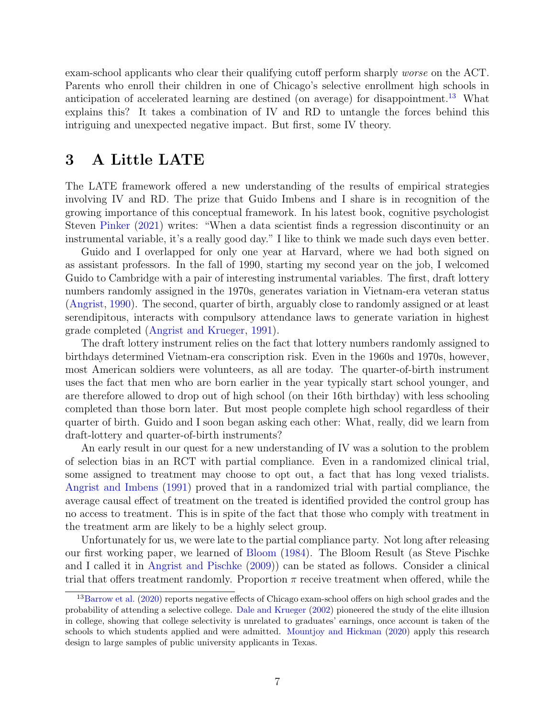exam-school applicants who clear their qualifying cutoff perform sharply worse on the ACT. Parents who enroll their children in one of Chicago's selective enrollment high schools in anticipation of accelerated learning are destined (on average) for disappointment.<sup>[13](#page-9-0)</sup> What explains this? It takes a combination of IV and RD to untangle the forces behind this intriguing and unexpected negative impact. But first, some IV theory.

## 3 A Little LATE

The LATE framework offered a new understanding of the results of empirical strategies involving IV and RD. The prize that Guido Imbens and I share is in recognition of the growing importance of this conceptual framework. In his latest book, cognitive psychologist Steven [Pinker](#page-30-3) [\(2021\)](#page-30-3) writes: "When a data scientist finds a regression discontinuity or an instrumental variable, it's a really good day." I like to think we made such days even better.

Guido and I overlapped for only one year at Harvard, where we had both signed on as assistant professors. In the fall of 1990, starting my second year on the job, I welcomed Guido to Cambridge with a pair of interesting instrumental variables. The first, draft lottery numbers randomly assigned in the 1970s, generates variation in Vietnam-era veteran status [\(Angrist,](#page-24-4) [1990\)](#page-24-4). The second, quarter of birth, arguably close to randomly assigned or at least serendipitous, interacts with compulsory attendance laws to generate variation in highest grade completed [\(Angrist and Krueger,](#page-26-8) [1991\)](#page-26-8).

The draft lottery instrument relies on the fact that lottery numbers randomly assigned to birthdays determined Vietnam-era conscription risk. Even in the 1960s and 1970s, however, most American soldiers were volunteers, as all are today. The quarter-of-birth instrument uses the fact that men who are born earlier in the year typically start school younger, and are therefore allowed to drop out of high school (on their 16th birthday) with less schooling completed than those born later. But most people complete high school regardless of their quarter of birth. Guido and I soon began asking each other: What, really, did we learn from draft-lottery and quarter-of-birth instruments?

An early result in our quest for a new understanding of IV was a solution to the problem of selection bias in an RCT with partial compliance. Even in a randomized clinical trial, some assigned to treatment may choose to opt out, a fact that has long vexed trialists. [Angrist and Imbens](#page-25-1) [\(1991\)](#page-25-1) proved that in a randomized trial with partial compliance, the average causal effect of treatment on the treated is identified provided the control group has no access to treatment. This is in spite of the fact that those who comply with treatment in the treatment arm are likely to be a highly select group.

Unfortunately for us, we were late to the partial compliance party. Not long after releasing our first working paper, we learned of [Bloom](#page-27-5) [\(1984\)](#page-27-5). The Bloom Result (as Steve Pischke and I called it in [Angrist and Pischke](#page-26-3) [\(2009\)](#page-26-3)) can be stated as follows. Consider a clinical trial that offers treatment randomly. Proportion  $\pi$  receive treatment when offered, while the

<span id="page-9-0"></span><sup>&</sup>lt;sup>13</sup>[Barrow et al.](#page-27-4) [\(2020\)](#page-27-4) reports negative effects of Chicago exam-school offers on high school grades and the probability of attending a selective college. [Dale and Krueger](#page-27-6) [\(2002\)](#page-27-6) pioneered the study of the elite illusion in college, showing that college selectivity is unrelated to graduates' earnings, once account is taken of the schools to which students applied and were admitted. [Mountjoy and Hickman](#page-29-7) [\(2020\)](#page-29-7) apply this research design to large samples of public university applicants in Texas.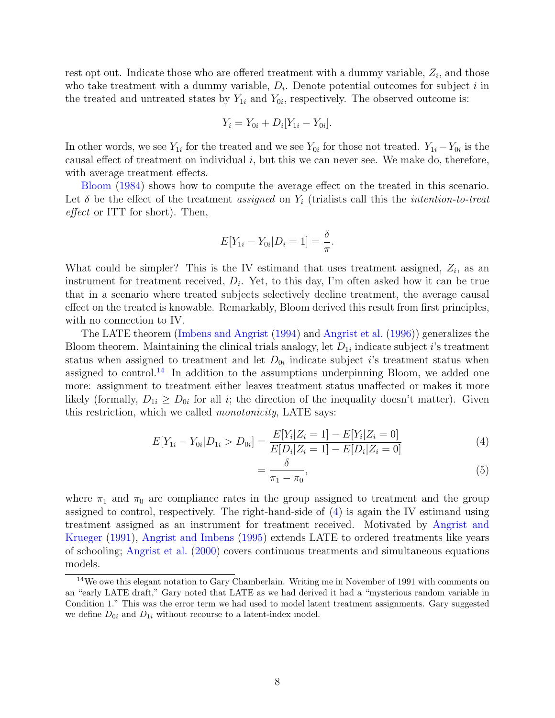rest opt out. Indicate those who are offered treatment with a dummy variable,  $Z_i$ , and those who take treatment with a dummy variable,  $D_i$ . Denote potential outcomes for subject i in the treated and untreated states by  $Y_{1i}$  and  $Y_{0i}$ , respectively. The observed outcome is:

$$
Y_i = Y_{0i} + D_i[Y_{1i} - Y_{0i}].
$$

In other words, we see  $Y_{1i}$  for the treated and we see  $Y_{0i}$  for those not treated.  $Y_{1i} - Y_{0i}$  is the causal effect of treatment on individual  $i$ , but this we can never see. We make do, therefore, with average treatment effects.

[Bloom](#page-27-5) [\(1984\)](#page-27-5) shows how to compute the average effect on the treated in this scenario. Let  $\delta$  be the effect of the treatment assigned on  $Y_i$  (trialists call this the *intention-to-treat* effect or ITT for short). Then,

$$
E[Y_{1i} - Y_{0i} | D_i = 1] = \frac{\delta}{\pi}.
$$

What could be simpler? This is the IV estimand that uses treatment assigned,  $Z_i$ , as an instrument for treatment received,  $D_i$ . Yet, to this day, I'm often asked how it can be true that in a scenario where treated subjects selectively decline treatment, the average causal effect on the treated is knowable. Remarkably, Bloom derived this result from first principles, with no connection to IV.

The LATE theorem [\(Imbens and Angrist](#page-29-8) [\(1994\)](#page-29-8) and [Angrist et al.](#page-25-2) [\(1996\)](#page-25-2)) generalizes the Bloom theorem. Maintaining the clinical trials analogy, let  $D_{1i}$  indicate subject *i*'s treatment status when assigned to treatment and let  $D_{0i}$  indicate subject *i*'s treatment status when assigned to control.<sup>[14](#page-10-0)</sup> In addition to the assumptions underpinning Bloom, we added one more: assignment to treatment either leaves treatment status unaffected or makes it more likely (formally,  $D_{1i} \geq D_{0i}$  for all *i*; the direction of the inequality doesn't matter). Given this restriction, which we called monotonicity, LATE says:

$$
E[Y_{1i} - Y_{0i} | D_{1i} > D_{0i}] = \frac{E[Y_i | Z_i = 1] - E[Y_i | Z_i = 0]}{E[D_i | Z_i = 1] - E[D_i | Z_i = 0]}
$$
(4)

<span id="page-10-2"></span><span id="page-10-1"></span>
$$
=\frac{o}{\pi_1-\pi_0},\tag{5}
$$

where  $\pi_1$  and  $\pi_0$  are compliance rates in the group assigned to treatment and the group assigned to control, respectively. The right-hand-side of [\(4\)](#page-10-1) is again the IV estimand using treatment assigned as an instrument for treatment received. Motivated by [Angrist and](#page-26-8) [Krueger](#page-26-8) [\(1991\)](#page-26-8), [Angrist and Imbens](#page-25-3) [\(1995\)](#page-25-3) extends LATE to ordered treatments like years of schooling; [Angrist et al.](#page-25-4) [\(2000\)](#page-25-4) covers continuous treatments and simultaneous equations models.

<span id="page-10-0"></span><sup>14</sup>We owe this elegant notation to Gary Chamberlain. Writing me in November of 1991 with comments on an "early LATE draft," Gary noted that LATE as we had derived it had a "mysterious random variable in Condition 1." This was the error term we had used to model latent treatment assignments. Gary suggested we define  $D_{0i}$  and  $D_{1i}$  without recourse to a latent-index model.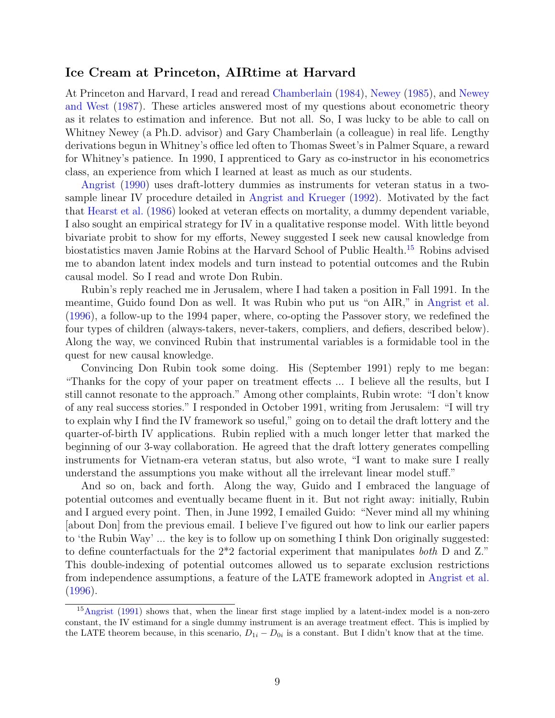#### Ice Cream at Princeton, AIRtime at Harvard

At Princeton and Harvard, I read and reread [Chamberlain](#page-27-7) [\(1984\)](#page-27-7), [Newey](#page-30-4) [\(1985\)](#page-30-4), and [Newey](#page-30-5) [and West](#page-30-5) [\(1987\)](#page-30-5). These articles answered most of my questions about econometric theory as it relates to estimation and inference. But not all. So, I was lucky to be able to call on Whitney Newey (a Ph.D. advisor) and Gary Chamberlain (a colleague) in real life. Lengthy derivations begun in Whitney's office led often to Thomas Sweet's in Palmer Square, a reward for Whitney's patience. In 1990, I apprenticed to Gary as co-instructor in his econometrics class, an experience from which I learned at least as much as our students.

[Angrist](#page-24-4) [\(1990\)](#page-24-4) uses draft-lottery dummies as instruments for veteran status in a twosample linear IV procedure detailed in [Angrist and Krueger](#page-26-9) [\(1992\)](#page-26-9). Motivated by the fact that [Hearst et al.](#page-28-0) [\(1986\)](#page-28-0) looked at veteran effects on mortality, a dummy dependent variable, I also sought an empirical strategy for IV in a qualitative response model. With little beyond bivariate probit to show for my efforts, Newey suggested I seek new causal knowledge from biostatistics maven Jamie Robins at the Harvard School of Public Health.[15](#page-11-0) Robins advised me to abandon latent index models and turn instead to potential outcomes and the Rubin causal model. So I read and wrote Don Rubin.

Rubin's reply reached me in Jerusalem, where I had taken a position in Fall 1991. In the meantime, Guido found Don as well. It was Rubin who put us "on AIR," in [Angrist et al.](#page-25-2) [\(1996\)](#page-25-2), a follow-up to the 1994 paper, where, co-opting the Passover story, we redefined the four types of children (always-takers, never-takers, compliers, and defiers, described below). Along the way, we convinced Rubin that instrumental variables is a formidable tool in the quest for new causal knowledge.

Convincing Don Rubin took some doing. His (September 1991) reply to me began: "Thanks for the copy of your paper on treatment effects ... I believe all the results, but I still cannot resonate to the approach." Among other complaints, Rubin wrote: "I don't know of any real success stories." I responded in October 1991, writing from Jerusalem: "I will try to explain why I find the IV framework so useful," going on to detail the draft lottery and the quarter-of-birth IV applications. Rubin replied with a much longer letter that marked the beginning of our 3-way collaboration. He agreed that the draft lottery generates compelling instruments for Vietnam-era veteran status, but also wrote, "I want to make sure I really understand the assumptions you make without all the irrelevant linear model stuff."

And so on, back and forth. Along the way, Guido and I embraced the language of potential outcomes and eventually became fluent in it. But not right away: initially, Rubin and I argued every point. Then, in June 1992, I emailed Guido: "Never mind all my whining [about Don] from the previous email. I believe I've figured out how to link our earlier papers to 'the Rubin Way' ... the key is to follow up on something I think Don originally suggested: to define counterfactuals for the 2\*2 factorial experiment that manipulates both D and Z." This double-indexing of potential outcomes allowed us to separate exclusion restrictions from independence assumptions, a feature of the LATE framework adopted in [Angrist et al.](#page-25-2) [\(1996\)](#page-25-2).

<span id="page-11-0"></span><sup>15</sup>[Angrist](#page-24-5) [\(1991\)](#page-24-5) shows that, when the linear first stage implied by a latent-index model is a non-zero constant, the IV estimand for a single dummy instrument is an average treatment effect. This is implied by the LATE theorem because, in this scenario,  $D_{1i} - D_{0i}$  is a constant. But I didn't know that at the time.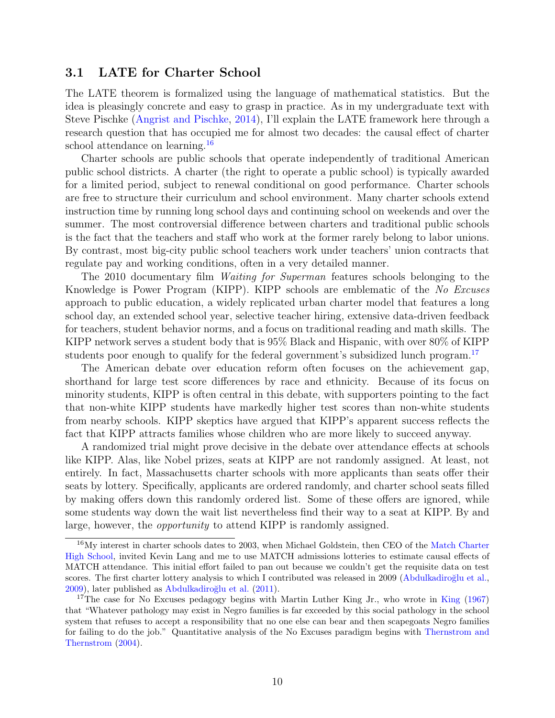#### 3.1 LATE for Charter School

The LATE theorem is formalized using the language of mathematical statistics. But the idea is pleasingly concrete and easy to grasp in practice. As in my undergraduate text with Steve Pischke [\(Angrist and Pischke,](#page-26-10) [2014\)](#page-26-10), I'll explain the LATE framework here through a research question that has occupied me for almost two decades: the causal effect of charter school attendance on learning.<sup>[16](#page-12-0)</sup>

Charter schools are public schools that operate independently of traditional American public school districts. A charter (the right to operate a public school) is typically awarded for a limited period, subject to renewal conditional on good performance. Charter schools are free to structure their curriculum and school environment. Many charter schools extend instruction time by running long school days and continuing school on weekends and over the summer. The most controversial difference between charters and traditional public schools is the fact that the teachers and staff who work at the former rarely belong to labor unions. By contrast, most big-city public school teachers work under teachers' union contracts that regulate pay and working conditions, often in a very detailed manner.

The 2010 documentary film *Waiting for Superman* features schools belonging to the Knowledge is Power Program (KIPP). KIPP schools are emblematic of the No Excuses approach to public education, a widely replicated urban charter model that features a long school day, an extended school year, selective teacher hiring, extensive data-driven feedback for teachers, student behavior norms, and a focus on traditional reading and math skills. The KIPP network serves a student body that is 95% Black and Hispanic, with over 80% of KIPP students poor enough to qualify for the federal government's subsidized lunch program.<sup>[17](#page-12-1)</sup>

The American debate over education reform often focuses on the achievement gap, shorthand for large test score differences by race and ethnicity. Because of its focus on minority students, KIPP is often central in this debate, with supporters pointing to the fact that non-white KIPP students have markedly higher test scores than non-white students from nearby schools. KIPP skeptics have argued that KIPP's apparent success reflects the fact that KIPP attracts families whose children who are more likely to succeed anyway.

A randomized trial might prove decisive in the debate over attendance effects at schools like KIPP. Alas, like Nobel prizes, seats at KIPP are not randomly assigned. At least, not entirely. In fact, Massachusetts charter schools with more applicants than seats offer their seats by lottery. Specifically, applicants are ordered randomly, and charter school seats filled by making offers down this randomly ordered list. Some of these offers are ignored, while some students way down the wait list nevertheless find their way to a seat at KIPP. By and large, however, the opportunity to attend KIPP is randomly assigned.

<span id="page-12-0"></span><sup>16</sup>My interest in charter schools dates to 2003, when Michael Goldstein, then CEO of the [Match Charter](https://www.matchschool.org/about/about-us/) [High School,](https://www.matchschool.org/about/about-us/) invited Kevin Lang and me to use MATCH admissions lotteries to estimate causal effects of MATCH attendance. This initial effort failed to pan out because we couldn't get the requisite data on test scores. The first charter lottery analysis to which I contributed was released in 2009 (Abdulkadiroğlu et al., [2009\)](#page-24-6), later published as Abdulkadiroğlu et al. [\(2011\)](#page-24-7).

<span id="page-12-1"></span><sup>&</sup>lt;sup>17</sup>The case for No Excuses pedagogy begins with Martin Luther [King](#page-29-9) Jr., who wrote in King [\(1967\)](#page-29-9) that "Whatever pathology may exist in Negro families is far exceeded by this social pathology in the school system that refuses to accept a responsibility that no one else can bear and then scapegoats Negro families for failing to do the job." Quantitative analysis of the No Excuses paradigm begins with [Thernstrom and](#page-30-6) [Thernstrom](#page-30-6) [\(2004\)](#page-30-6).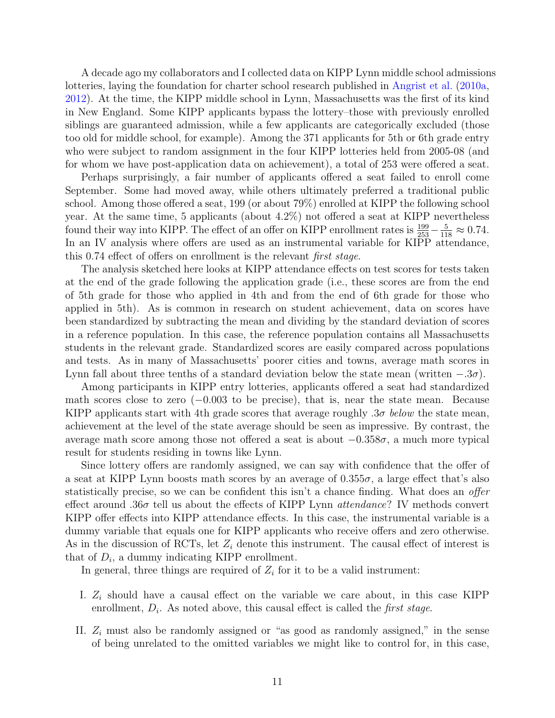A decade ago my collaborators and I collected data on KIPP Lynn middle school admissions lotteries, laying the foundation for charter school research published in [Angrist et al.](#page-25-5) [\(2010a,](#page-25-5) [2012\)](#page-25-6). At the time, the KIPP middle school in Lynn, Massachusetts was the first of its kind in New England. Some KIPP applicants bypass the lottery–those with previously enrolled siblings are guaranteed admission, while a few applicants are categorically excluded (those too old for middle school, for example). Among the 371 applicants for 5th or 6th grade entry who were subject to random assignment in the four KIPP lotteries held from 2005-08 (and for whom we have post-application data on achievement), a total of 253 were offered a seat.

Perhaps surprisingly, a fair number of applicants offered a seat failed to enroll come September. Some had moved away, while others ultimately preferred a traditional public school. Among those offered a seat, 199 (or about 79%) enrolled at KIPP the following school year. At the same time, 5 applicants (about 4.2%) not offered a seat at KIPP nevertheless found their way into KIPP. The effect of an offer on KIPP enrollment rates is  $\frac{199}{253} - \frac{5}{118} \approx 0.74$ . In an IV analysis where offers are used as an instrumental variable for KIPP attendance, this 0.74 effect of offers on enrollment is the relevant first stage.

The analysis sketched here looks at KIPP attendance effects on test scores for tests taken at the end of the grade following the application grade (i.e., these scores are from the end of 5th grade for those who applied in 4th and from the end of 6th grade for those who applied in 5th). As is common in research on student achievement, data on scores have been standardized by subtracting the mean and dividing by the standard deviation of scores in a reference population. In this case, the reference population contains all Massachusetts students in the relevant grade. Standardized scores are easily compared across populations and tests. As in many of Massachusetts' poorer cities and towns, average math scores in Lynn fall about three tenths of a standard deviation below the state mean (written  $-.3\sigma$ ).

Among participants in KIPP entry lotteries, applicants offered a seat had standardized math scores close to zero  $(-0.003$  to be precise), that is, near the state mean. Because KIPP applicants start with 4th grade scores that average roughly  $.3\sigma$  below the state mean, achievement at the level of the state average should be seen as impressive. By contrast, the average math score among those not offered a seat is about  $-0.358\sigma$ , a much more typical result for students residing in towns like Lynn.

Since lottery offers are randomly assigned, we can say with confidence that the offer of a seat at KIPP Lynn boosts math scores by an average of  $0.355\sigma$ , a large effect that's also statistically precise, so we can be confident this isn't a chance finding. What does an *offer* effect around .36 $\sigma$  tell us about the effects of KIPP Lynn *attendance*? IV methods convert KIPP offer effects into KIPP attendance effects. In this case, the instrumental variable is a dummy variable that equals one for KIPP applicants who receive offers and zero otherwise. As in the discussion of RCTs, let  $Z_i$  denote this instrument. The causal effect of interest is that of  $D_i$ , a dummy indicating KIPP enrollment.

In general, three things are required of  $Z_i$  for it to be a valid instrument:

- I.  $Z_i$  should have a causal effect on the variable we care about, in this case KIPP enrollment,  $D_i$ . As noted above, this causal effect is called the *first stage*.
- II.  $Z_i$  must also be randomly assigned or "as good as randomly assigned," in the sense of being unrelated to the omitted variables we might like to control for, in this case,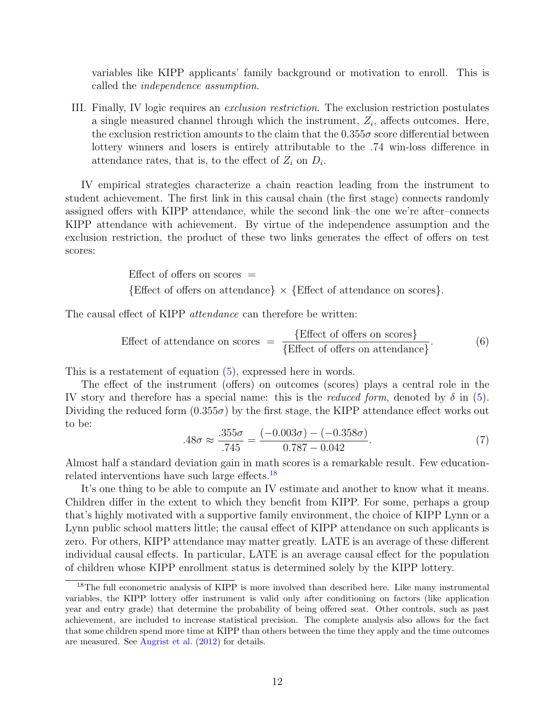variables like KIPP applicants' family background or motivation to enroll. This is called the independence assumption.

III. Finally, IV logic requires an exclusion restriction. The exclusion restriction postulates a single measured channel through which the instrument,  $Z_i$ , affects outcomes. Here, the exclusion restriction amounts to the claim that the  $0.355\sigma$  score differential between lottery winners and losers is entirely attributable to the .74 win-loss difference in attendance rates, that is, to the effect of  $Z_i$  on  $D_i$ .

IV empirical strategies characterize a chain reaction leading from the instrument to student achievement. The first link in this causal chain (the first stage) connects randomly assigned offers with KIPP attendance, while the second link–the one we're after–connects KIPP attendance with achievement. By virtue of the independence assumption and the exclusion restriction, the product of these two links generates the effect of offers on test scores:

> Effect of offers on scores  $=$  ${Effect of offers on attendance} \times {Effect of attendance on scores}.$

The causal effect of KIPP *attendance* can therefore be written:

Effect of attendance on scores = 
$$
\frac{\text{Effect of offers on scores}}{\text{Effect of offers on attendance}}
$$
. (6)

This is a restatement of equation [\(5\)](#page-10-2), expressed here in words.

The effect of the instrument (offers) on outcomes (scores) plays a central role in the IV story and therefore has a special name: this is the *reduced form*, denoted by  $\delta$  in [\(5\)](#page-10-2). Dividing the reduced form  $(0.355\sigma)$  by the first stage, the KIPP attendance effect works out to be:

$$
.48\sigma \approx \frac{.355\sigma}{.745} = \frac{(-0.003\sigma) - (-0.358\sigma)}{0.787 - 0.042}.\tag{7}
$$

Almost half a standard deviation gain in math scores is a remarkable result. Few educationrelated interventions have such large effects.[18](#page-14-0)

It's one thing to be able to compute an IV estimate and another to know what it means. Children differ in the extent to which they benefit from KIPP. For some, perhaps a group that's highly motivated with a supportive family environment, the choice of KIPP Lynn or a Lynn public school matters little; the causal effect of KIPP attendance on such applicants is zero. For others, KIPP attendance may matter greatly. LATE is an average of these different individual causal effects. In particular, LATE is an average causal effect for the population of children whose KIPP enrollment status is determined solely by the KIPP lottery.

<span id="page-14-0"></span><sup>&</sup>lt;sup>18</sup>The full econometric analysis of KIPP is more involved than described here. Like many instrumental variables, the KIPP lottery offer instrument is valid only after conditioning on factors (like application year and entry grade) that determine the probability of being offered seat. Other controls, such as past achievement, are included to increase statistical precision. The complete analysis also allows for the fact that some children spend more time at KIPP than others between the time they apply and the time outcomes are measured. See [Angrist et al.](#page-25-6) [\(2012\)](#page-25-6) for details.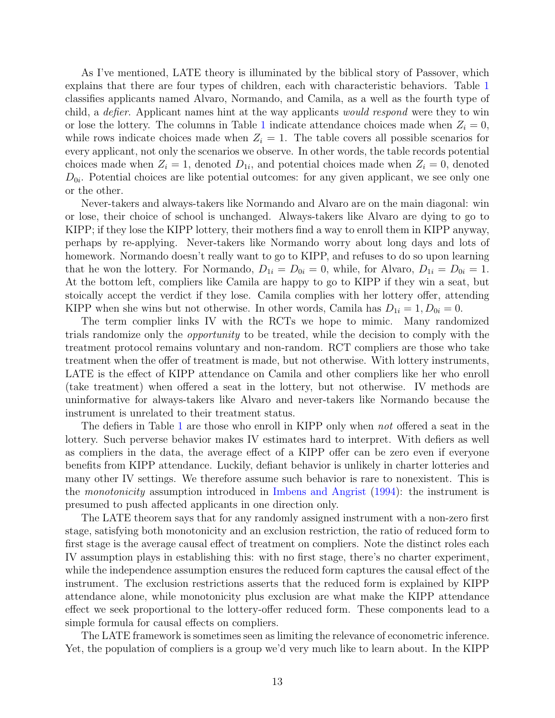As I've mentioned, LATE theory is illuminated by the biblical story of Passover, which explains that there are four types of children, each with characteristic behaviors. Table [1](#page-36-0) classifies applicants named Alvaro, Normando, and Camila, as a well as the fourth type of child, a defier. Applicant names hint at the way applicants would respond were they to win or lose the lottery. The columns in Table [1](#page-36-0) indicate attendance choices made when  $Z_i = 0$ , while rows indicate choices made when  $Z_i = 1$ . The table covers all possible scenarios for every applicant, not only the scenarios we observe. In other words, the table records potential choices made when  $Z_i = 1$ , denoted  $D_{1i}$ , and potential choices made when  $Z_i = 0$ , denoted  $D_{0i}$ . Potential choices are like potential outcomes: for any given applicant, we see only one or the other.

Never-takers and always-takers like Normando and Alvaro are on the main diagonal: win or lose, their choice of school is unchanged. Always-takers like Alvaro are dying to go to KIPP; if they lose the KIPP lottery, their mothers find a way to enroll them in KIPP anyway, perhaps by re-applying. Never-takers like Normando worry about long days and lots of homework. Normando doesn't really want to go to KIPP, and refuses to do so upon learning that he won the lottery. For Normando,  $D_{1i} = D_{0i} = 0$ , while, for Alvaro,  $D_{1i} = D_{0i} = 1$ . At the bottom left, compliers like Camila are happy to go to KIPP if they win a seat, but stoically accept the verdict if they lose. Camila complies with her lottery offer, attending KIPP when she wins but not otherwise. In other words, Camila has  $D_{1i} = 1, D_{0i} = 0$ .

The term complier links IV with the RCTs we hope to mimic. Many randomized trials randomize only the opportunity to be treated, while the decision to comply with the treatment protocol remains voluntary and non-random. RCT compliers are those who take treatment when the offer of treatment is made, but not otherwise. With lottery instruments, LATE is the effect of KIPP attendance on Camila and other compliers like her who enroll (take treatment) when offered a seat in the lottery, but not otherwise. IV methods are uninformative for always-takers like Alvaro and never-takers like Normando because the instrument is unrelated to their treatment status.

The defiers in Table [1](#page-36-0) are those who enroll in KIPP only when not offered a seat in the lottery. Such perverse behavior makes IV estimates hard to interpret. With defiers as well as compliers in the data, the average effect of a KIPP offer can be zero even if everyone benefits from KIPP attendance. Luckily, defiant behavior is unlikely in charter lotteries and many other IV settings. We therefore assume such behavior is rare to nonexistent. This is the monotonicity assumption introduced in [Imbens and Angrist](#page-29-8) [\(1994\)](#page-29-8): the instrument is presumed to push affected applicants in one direction only.

The LATE theorem says that for any randomly assigned instrument with a non-zero first stage, satisfying both monotonicity and an exclusion restriction, the ratio of reduced form to first stage is the average causal effect of treatment on compliers. Note the distinct roles each IV assumption plays in establishing this: with no first stage, there's no charter experiment, while the independence assumption ensures the reduced form captures the causal effect of the instrument. The exclusion restrictions asserts that the reduced form is explained by KIPP attendance alone, while monotonicity plus exclusion are what make the KIPP attendance effect we seek proportional to the lottery-offer reduced form. These components lead to a simple formula for causal effects on compliers.

The LATE framework is sometimes seen as limiting the relevance of econometric inference. Yet, the population of compliers is a group we'd very much like to learn about. In the KIPP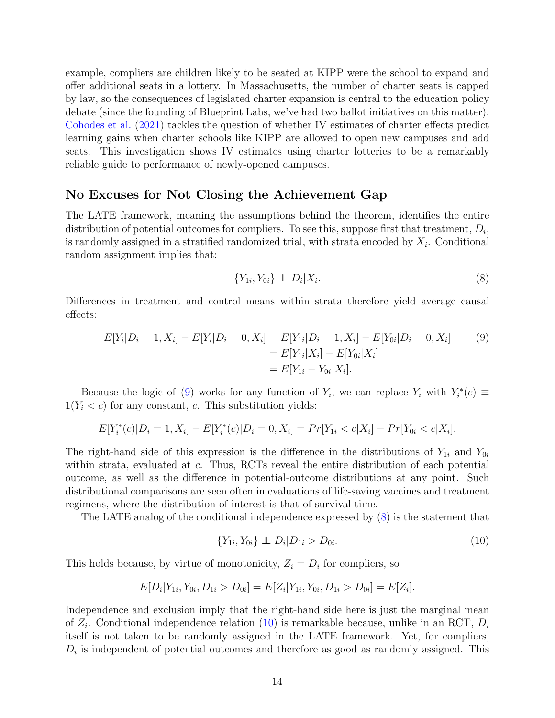example, compliers are children likely to be seated at KIPP were the school to expand and offer additional seats in a lottery. In Massachusetts, the number of charter seats is capped by law, so the consequences of legislated charter expansion is central to the education policy debate (since the founding of Blueprint Labs, we've had two ballot initiatives on this matter). [Cohodes et al.](#page-27-8) [\(2021\)](#page-27-8) tackles the question of whether IV estimates of charter effects predict learning gains when charter schools like KIPP are allowed to open new campuses and add seats. This investigation shows IV estimates using charter lotteries to be a remarkably reliable guide to performance of newly-opened campuses.

#### No Excuses for Not Closing the Achievement Gap

The LATE framework, meaning the assumptions behind the theorem, identifies the entire distribution of potential outcomes for compliers. To see this, suppose first that treatment,  $D_i$ , is randomly assigned in a stratified randomized trial, with strata encoded by  $X_i$ . Conditional random assignment implies that:

<span id="page-16-1"></span><span id="page-16-0"></span>
$$
\{Y_{1i}, Y_{0i}\} \perp\!\!\!\perp D_i | X_i. \tag{8}
$$

Differences in treatment and control means within strata therefore yield average causal effects:

$$
E[Y_i|D_i = 1, X_i] - E[Y_i|D_i = 0, X_i] = E[Y_{1i}|D_i = 1, X_i] - E[Y_{0i}|D_i = 0, X_i]
$$
  
= 
$$
E[Y_{1i}|X_i] - E[Y_{0i}|X_i]
$$
  
= 
$$
E[Y_{1i} - Y_{0i}|X_i].
$$
  
(9)

Because the logic of [\(9\)](#page-16-0) works for any function of  $Y_i$ , we can replace  $Y_i$  with  $Y_i^*(c) \equiv$  $1(Y_i < c)$  for any constant, c. This substitution yields:

$$
E[Y_i^*(c)|D_i=1, X_i] - E[Y_i^*(c)|D_i=0, X_i] = Pr[Y_{1i} < c|X_i] - Pr[Y_{0i} < c|X_i].
$$

The right-hand side of this expression is the difference in the distributions of  $Y_{1i}$  and  $Y_{0i}$ within strata, evaluated at c. Thus, RCTs reveal the entire distribution of each potential outcome, as well as the difference in potential-outcome distributions at any point. Such distributional comparisons are seen often in evaluations of life-saving vaccines and treatment regimens, where the distribution of interest is that of survival time.

The LATE analog of the conditional independence expressed by [\(8\)](#page-16-1) is the statement that

<span id="page-16-2"></span>
$$
\{Y_{1i}, Y_{0i}\} \perp\!\!\!\perp D_i | D_{1i} > D_{0i}.\tag{10}
$$

This holds because, by virtue of monotonicity,  $Z_i = D_i$  for compliers, so

$$
E[D_i|Y_{1i}, Y_{0i}, D_{1i} > D_{0i}] = E[Z_i|Y_{1i}, Y_{0i}, D_{1i} > D_{0i}] = E[Z_i].
$$

Independence and exclusion imply that the right-hand side here is just the marginal mean of  $Z_i$ . Conditional independence relation [\(10\)](#page-16-2) is remarkable because, unlike in an RCT,  $D_i$ itself is not taken to be randomly assigned in the LATE framework. Yet, for compliers,  $D_i$  is independent of potential outcomes and therefore as good as randomly assigned. This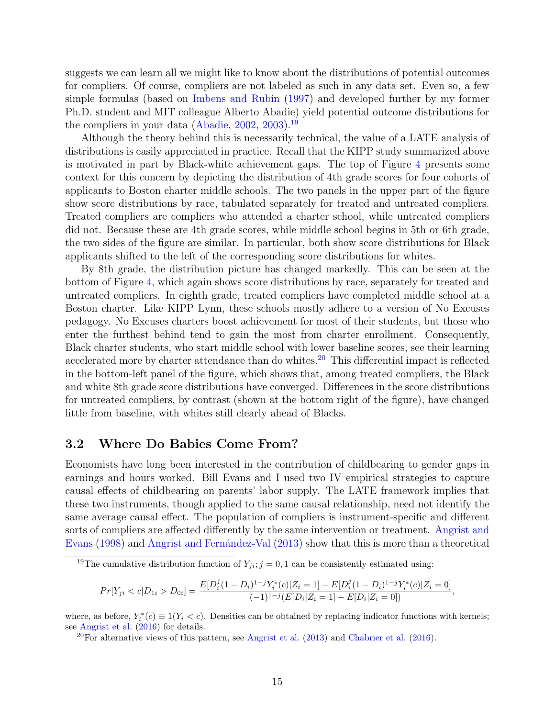suggests we can learn all we might like to know about the distributions of potential outcomes for compliers. Of course, compliers are not labeled as such in any data set. Even so, a few simple formulas (based on [Imbens and Rubin](#page-29-10) [\(1997\)](#page-29-10) and developed further by my former Ph.D. student and MIT colleague Alberto Abadie) yield potential outcome distributions for the compliers in your data [\(Abadie,](#page-24-8)  $2002$ ,  $2003$ ).<sup>[19](#page-17-0)</sup>

Although the theory behind this is necessarily technical, the value of a LATE analysis of distributions is easily appreciated in practice. Recall that the KIPP study summarized above is motivated in part by Black-white achievement gaps. The top of Figure [4](#page-34-0) presents some context for this concern by depicting the distribution of 4th grade scores for four cohorts of applicants to Boston charter middle schools. The two panels in the upper part of the figure show score distributions by race, tabulated separately for treated and untreated compliers. Treated compliers are compliers who attended a charter school, while untreated compliers did not. Because these are 4th grade scores, while middle school begins in 5th or 6th grade, the two sides of the figure are similar. In particular, both show score distributions for Black applicants shifted to the left of the corresponding score distributions for whites.

By 8th grade, the distribution picture has changed markedly. This can be seen at the bottom of Figure [4,](#page-34-0) which again shows score distributions by race, separately for treated and untreated compliers. In eighth grade, treated compliers have completed middle school at a Boston charter. Like KIPP Lynn, these schools mostly adhere to a version of No Excuses pedagogy. No Excuses charters boost achievement for most of their students, but those who enter the furthest behind tend to gain the most from charter enrollment. Consequently, Black charter students, who start middle school with lower baseline scores, see their learning accelerated more by charter attendance than do whites.<sup>[20](#page-17-1)</sup> This differential impact is reflected in the bottom-left panel of the figure, which shows that, among treated compliers, the Black and white 8th grade score distributions have converged. Differences in the score distributions for untreated compliers, by contrast (shown at the bottom right of the figure), have changed little from baseline, with whites still clearly ahead of Blacks.

#### 3.2 Where Do Babies Come From?

Economists have long been interested in the contribution of childbearing to gender gaps in earnings and hours worked. Bill Evans and I used two IV empirical strategies to capture causal effects of childbearing on parents' labor supply. The LATE framework implies that these two instruments, though applied to the same causal relationship, need not identify the same average causal effect. The population of compliers is instrument-specific and different sorts of compliers are affected differently by the same intervention or treatment. [Angrist and](#page-25-7) [Evans](#page-25-7) [\(1998\)](#page-25-7) and Angrist and Fernández-Val [\(2013\)](#page-25-8) show that this is more than a theoretical

$$
Pr[Y_{ji} < c | D_{1i} > D_{0i}] = \frac{E[D_i^j (1 - D_i)^{1-j} Y_i^*(c) | Z_i = 1] - E[D_i^j (1 - D_i)^{1-j} Y_i^*(c) | Z_i = 0]}{(-1)^{1-j} (E[D_i | Z_i = 1] - E[D_i | Z_i = 0])},
$$

where, as before,  $Y_i^*(c) \equiv 1(Y_i < c)$ . Densities can be obtained by replacing indicator functions with kernels; see [Angrist et al.](#page-25-9) [\(2016\)](#page-25-9) for details.

<span id="page-17-0"></span><sup>&</sup>lt;sup>19</sup>The cumulative distribution function of  $Y_{ji}$ ;  $j = 0, 1$  can be consistently estimated using:

<span id="page-17-1"></span><sup>&</sup>lt;sup>20</sup>For alternative views of this pattern, see [Angrist et al.](#page-26-11)  $(2013)$  and [Chabrier et al.](#page-27-9)  $(2016)$ .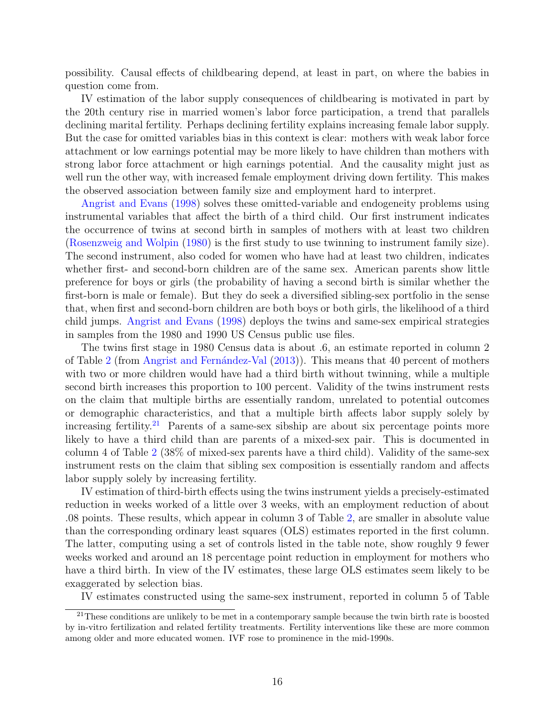possibility. Causal effects of childbearing depend, at least in part, on where the babies in question come from.

IV estimation of the labor supply consequences of childbearing is motivated in part by the 20th century rise in married women's labor force participation, a trend that parallels declining marital fertility. Perhaps declining fertility explains increasing female labor supply. But the case for omitted variables bias in this context is clear: mothers with weak labor force attachment or low earnings potential may be more likely to have children than mothers with strong labor force attachment or high earnings potential. And the causality might just as well run the other way, with increased female employment driving down fertility. This makes the observed association between family size and employment hard to interpret.

[Angrist and Evans](#page-25-7) [\(1998\)](#page-25-7) solves these omitted-variable and endogeneity problems using instrumental variables that affect the birth of a third child. Our first instrument indicates the occurrence of twins at second birth in samples of mothers with at least two children [\(Rosenzweig and Wolpin](#page-30-7) [\(1980\)](#page-30-7) is the first study to use twinning to instrument family size). The second instrument, also coded for women who have had at least two children, indicates whether first- and second-born children are of the same sex. American parents show little preference for boys or girls (the probability of having a second birth is similar whether the first-born is male or female). But they do seek a diversified sibling-sex portfolio in the sense that, when first and second-born children are both boys or both girls, the likelihood of a third child jumps. [Angrist and Evans](#page-25-7) [\(1998\)](#page-25-7) deploys the twins and same-sex empirical strategies in samples from the 1980 and 1990 US Census public use files.

The twins first stage in 1980 Census data is about .6, an estimate reported in column 2 of Table [2](#page-37-0) (from Angrist and Fernandez-Val [\(2013\)](#page-25-8)). This means that 40 percent of mothers with two or more children would have had a third birth without twinning, while a multiple second birth increases this proportion to 100 percent. Validity of the twins instrument rests on the claim that multiple births are essentially random, unrelated to potential outcomes or demographic characteristics, and that a multiple birth affects labor supply solely by increasing fertility.<sup>[21](#page-18-0)</sup> Parents of a same-sex sibship are about six percentage points more likely to have a third child than are parents of a mixed-sex pair. This is documented in column 4 of Table [2](#page-37-0) (38% of mixed-sex parents have a third child). Validity of the same-sex instrument rests on the claim that sibling sex composition is essentially random and affects labor supply solely by increasing fertility.

IV estimation of third-birth effects using the twins instrument yields a precisely-estimated reduction in weeks worked of a little over 3 weeks, with an employment reduction of about .08 points. These results, which appear in column 3 of Table [2,](#page-37-0) are smaller in absolute value than the corresponding ordinary least squares (OLS) estimates reported in the first column. The latter, computing using a set of controls listed in the table note, show roughly 9 fewer weeks worked and around an 18 percentage point reduction in employment for mothers who have a third birth. In view of the IV estimates, these large OLS estimates seem likely to be exaggerated by selection bias.

<span id="page-18-0"></span>IV estimates constructed using the same-sex instrument, reported in column 5 of Table

<sup>&</sup>lt;sup>21</sup>These conditions are unlikely to be met in a contemporary sample because the twin birth rate is boosted by in-vitro fertilization and related fertility treatments. Fertility interventions like these are more common among older and more educated women. IVF rose to prominence in the mid-1990s.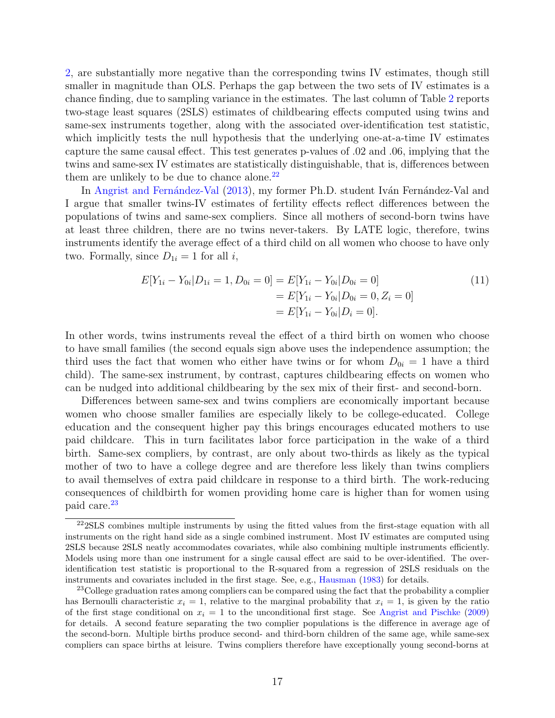[2,](#page-37-0) are substantially more negative than the corresponding twins IV estimates, though still smaller in magnitude than OLS. Perhaps the gap between the two sets of IV estimates is a chance finding, due to sampling variance in the estimates. The last column of Table [2](#page-37-0) reports two-stage least squares (2SLS) estimates of childbearing effects computed using twins and same-sex instruments together, along with the associated over-identification test statistic, which implicitly tests the null hypothesis that the underlying one-at-a-time IV estimates capture the same causal effect. This test generates p-values of .02 and .06, implying that the twins and same-sex IV estimates are statistically distinguishable, that is, differences between them are unlikely to be due to chance alone. $^{22}$  $^{22}$  $^{22}$ 

In Angrist and Fernández-Val [\(2013\)](#page-25-8), my former Ph.D. student Iván Fernández-Val and I argue that smaller twins-IV estimates of fertility effects reflect differences between the populations of twins and same-sex compliers. Since all mothers of second-born twins have at least three children, there are no twins never-takers. By LATE logic, therefore, twins instruments identify the average effect of a third child on all women who choose to have only two. Formally, since  $D_{1i} = 1$  for all i,

$$
E[Y_{1i} - Y_{0i} | D_{1i} = 1, D_{0i} = 0] = E[Y_{1i} - Y_{0i} | D_{0i} = 0]
$$
  
= 
$$
E[Y_{1i} - Y_{0i} | D_{0i} = 0, Z_i = 0]
$$
  
= 
$$
E[Y_{1i} - Y_{0i} | D_i = 0].
$$
 (11)

In other words, twins instruments reveal the effect of a third birth on women who choose to have small families (the second equals sign above uses the independence assumption; the third uses the fact that women who either have twins or for whom  $D_{0i} = 1$  have a third child). The same-sex instrument, by contrast, captures childbearing effects on women who can be nudged into additional childbearing by the sex mix of their first- and second-born.

Differences between same-sex and twins compliers are economically important because women who choose smaller families are especially likely to be college-educated. College education and the consequent higher pay this brings encourages educated mothers to use paid childcare. This in turn facilitates labor force participation in the wake of a third birth. Same-sex compliers, by contrast, are only about two-thirds as likely as the typical mother of two to have a college degree and are therefore less likely than twins compliers to avail themselves of extra paid childcare in response to a third birth. The work-reducing consequences of childbirth for women providing home care is higher than for women using paid care.[23](#page-19-1)

<span id="page-19-0"></span><sup>&</sup>lt;sup>22</sup>2SLS combines multiple instruments by using the fitted values from the first-stage equation with all instruments on the right hand side as a single combined instrument. Most IV estimates are computed using 2SLS because 2SLS neatly accommodates covariates, while also combining multiple instruments efficiently. Models using more than one instrument for a single causal effect are said to be over-identified. The overidentification test statistic is proportional to the R-squared from a regression of 2SLS residuals on the instruments and covariates included in the first stage. See, e.g., [Hausman](#page-28-8) [\(1983\)](#page-28-8) for details.

<span id="page-19-1"></span><sup>&</sup>lt;sup>23</sup>College graduation rates among compliers can be compared using the fact that the probability a complier has Bernoulli characteristic  $x_i = 1$ , relative to the marginal probability that  $x_i = 1$ , is given by the ratio of the first stage conditional on  $x_i = 1$  to the unconditional first stage. See [Angrist and Pischke](#page-26-3) [\(2009\)](#page-26-3) for details. A second feature separating the two complier populations is the difference in average age of the second-born. Multiple births produce second- and third-born children of the same age, while same-sex compliers can space births at leisure. Twins compliers therefore have exceptionally young second-borns at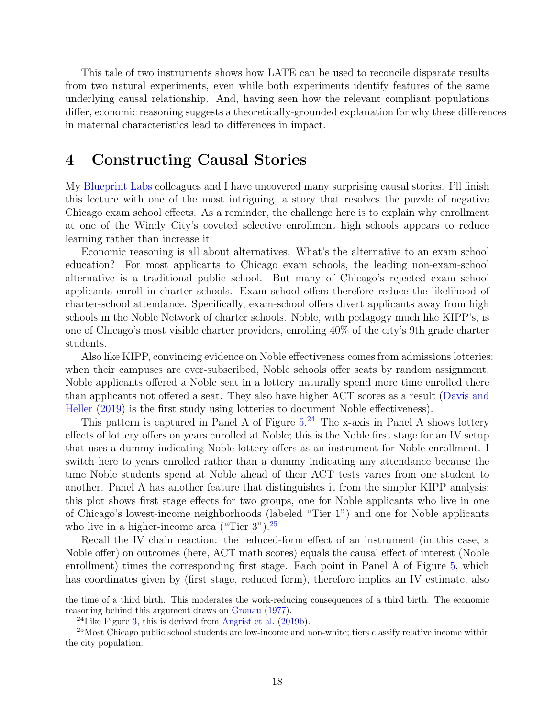This tale of two instruments shows how LATE can be used to reconcile disparate results from two natural experiments, even while both experiments identify features of the same underlying causal relationship. And, having seen how the relevant compliant populations differ, economic reasoning suggests a theoretically-grounded explanation for why these differences in maternal characteristics lead to differences in impact.

## 4 Constructing Causal Stories

My [Blueprint Labs](https://blueprintlabs.mit.edu/research/) colleagues and I have uncovered many surprising causal stories. I'll finish this lecture with one of the most intriguing, a story that resolves the puzzle of negative Chicago exam school effects. As a reminder, the challenge here is to explain why enrollment at one of the Windy City's coveted selective enrollment high schools appears to reduce learning rather than increase it.

Economic reasoning is all about alternatives. What's the alternative to an exam school education? For most applicants to Chicago exam schools, the leading non-exam-school alternative is a traditional public school. But many of Chicago's rejected exam school applicants enroll in charter schools. Exam school offers therefore reduce the likelihood of charter-school attendance. Specifically, exam-school offers divert applicants away from high schools in the Noble Network of charter schools. Noble, with pedagogy much like KIPP's, is one of Chicago's most visible charter providers, enrolling 40% of the city's 9th grade charter students.

Also like KIPP, convincing evidence on Noble effectiveness comes from admissions lotteries: when their campuses are over-subscribed, Noble schools offer seats by random assignment. Noble applicants offered a Noble seat in a lottery naturally spend more time enrolled there than applicants not offered a seat. They also have higher ACT scores as a result [\(Davis and](#page-27-10) [Heller](#page-27-10) [\(2019\)](#page-27-10) is the first study using lotteries to document Noble effectiveness).

This pattern is captured in Panel A of Figure  $5.^{24}$  $5.^{24}$  $5.^{24}$  $5.^{24}$  The x-axis in Panel A shows lottery effects of lottery offers on years enrolled at Noble; this is the Noble first stage for an IV setup that uses a dummy indicating Noble lottery offers as an instrument for Noble enrollment. I switch here to years enrolled rather than a dummy indicating any attendance because the time Noble students spend at Noble ahead of their ACT tests varies from one student to another. Panel A has another feature that distinguishes it from the simpler KIPP analysis: this plot shows first stage effects for two groups, one for Noble applicants who live in one of Chicago's lowest-income neighborhoods (labeled "Tier 1") and one for Noble applicants who live in a higher-income area ("Tier  $3$ ").<sup>[25](#page-20-1)</sup>

Recall the IV chain reaction: the reduced-form effect of an instrument (in this case, a Noble offer) on outcomes (here, ACT math scores) equals the causal effect of interest (Noble enrollment) times the corresponding first stage. Each point in Panel A of Figure [5,](#page-35-0) which has coordinates given by (first stage, reduced form), therefore implies an IV estimate, also

the time of a third birth. This moderates the work-reducing consequences of a third birth. The economic reasoning behind this argument draws on [Gronau](#page-28-9) [\(1977\)](#page-28-9).

<span id="page-20-1"></span><span id="page-20-0"></span><sup>&</sup>lt;sup>24</sup>Like Figure [3,](#page-33-0) this is derived from [Angrist et al.](#page-26-6)  $(2019b)$ .

<sup>&</sup>lt;sup>25</sup>Most Chicago public school students are low-income and non-white; tiers classify relative income within the city population.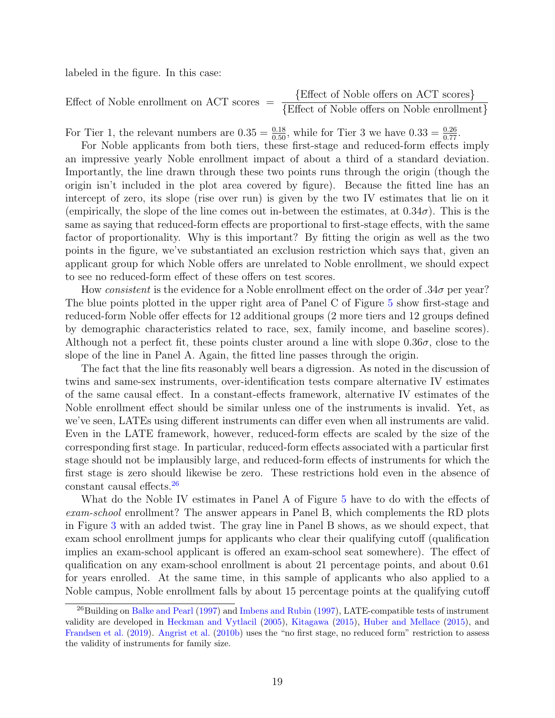labeled in the figure. In this case:

Effect of Noble enrollment on ACT scores = 
$$
\frac{\text{Effect of Noble offers on ACT scores}}{\text{Effect of Noble offers on Noble enrollment}}
$$

For Tier 1, the relevant numbers are  $0.35 = \frac{0.18}{0.50}$ , while for Tier 3 we have  $0.33 = \frac{0.26}{0.77}$ .

For Noble applicants from both tiers, these first-stage and reduced-form effects imply an impressive yearly Noble enrollment impact of about a third of a standard deviation. Importantly, the line drawn through these two points runs through the origin (though the origin isn't included in the plot area covered by figure). Because the fitted line has an intercept of zero, its slope (rise over run) is given by the two IV estimates that lie on it (empirically, the slope of the line comes out in-between the estimates, at  $0.34\sigma$ ). This is the same as saying that reduced-form effects are proportional to first-stage effects, with the same factor of proportionality. Why is this important? By fitting the origin as well as the two points in the figure, we've substantiated an exclusion restriction which says that, given an applicant group for which Noble offers are unrelated to Noble enrollment, we should expect to see no reduced-form effect of these offers on test scores.

How consistent is the evidence for a Noble enrollment effect on the order of  $.34\sigma$  per year? The blue points plotted in the upper right area of Panel C of Figure [5](#page-35-0) show first-stage and reduced-form Noble offer effects for 12 additional groups (2 more tiers and 12 groups defined by demographic characteristics related to race, sex, family income, and baseline scores). Although not a perfect fit, these points cluster around a line with slope  $0.36\sigma$ , close to the slope of the line in Panel A. Again, the fitted line passes through the origin.

The fact that the line fits reasonably well bears a digression. As noted in the discussion of twins and same-sex instruments, over-identification tests compare alternative IV estimates of the same causal effect. In a constant-effects framework, alternative IV estimates of the Noble enrollment effect should be similar unless one of the instruments is invalid. Yet, as we've seen, LATEs using different instruments can differ even when all instruments are valid. Even in the LATE framework, however, reduced-form effects are scaled by the size of the corresponding first stage. In particular, reduced-form effects associated with a particular first stage should not be implausibly large, and reduced-form effects of instruments for which the first stage is zero should likewise be zero. These restrictions hold even in the absence of constant causal effects.[26](#page-21-0)

What do the Noble IV estimates in Panel A of Figure [5](#page-35-0) have to do with the effects of exam-school enrollment? The answer appears in Panel B, which complements the RD plots in Figure [3](#page-33-0) with an added twist. The gray line in Panel B shows, as we should expect, that exam school enrollment jumps for applicants who clear their qualifying cutoff (qualification implies an exam-school applicant is offered an exam-school seat somewhere). The effect of qualification on any exam-school enrollment is about 21 percentage points, and about 0.61 for years enrolled. At the same time, in this sample of applicants who also applied to a Noble campus, Noble enrollment falls by about 15 percentage points at the qualifying cutoff

<span id="page-21-0"></span><sup>&</sup>lt;sup>26</sup>Building on [Balke and Pearl](#page-27-11) [\(1997\)](#page-29-10) and [Imbens and Rubin](#page-29-10) (1997), LATE-compatible tests of instrument validity are developed in [Heckman and Vytlacil](#page-29-11) [\(2005\)](#page-29-11), [Kitagawa](#page-29-12) [\(2015\)](#page-29-12), [Huber and Mellace](#page-29-13) [\(2015\)](#page-29-13), and [Frandsen et al.](#page-28-10) [\(2019\)](#page-28-10). [Angrist et al.](#page-26-12) [\(2010b\)](#page-26-12) uses the "no first stage, no reduced form" restriction to assess the validity of instruments for family size.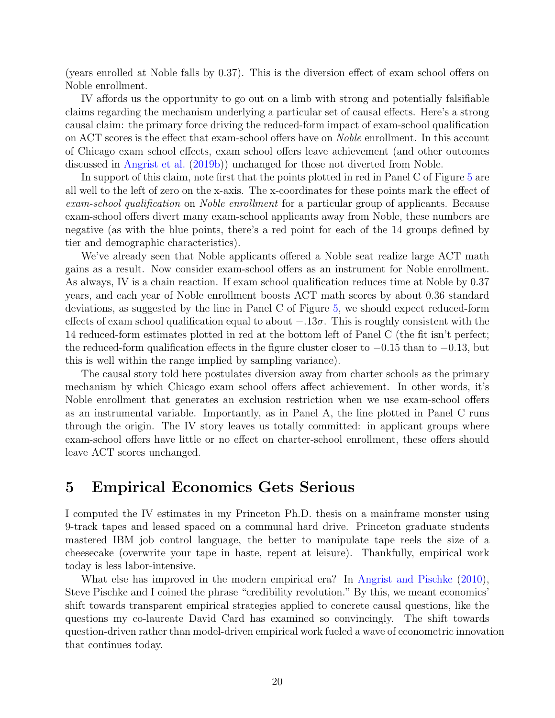(years enrolled at Noble falls by 0.37). This is the diversion effect of exam school offers on Noble enrollment.

IV affords us the opportunity to go out on a limb with strong and potentially falsifiable claims regarding the mechanism underlying a particular set of causal effects. Here's a strong causal claim: the primary force driving the reduced-form impact of exam-school qualification on ACT scores is the effect that exam-school offers have on *Noble* enrollment. In this account of Chicago exam school effects, exam school offers leave achievement (and other outcomes discussed in [Angrist et al.](#page-26-6) [\(2019b\)](#page-26-6)) unchanged for those not diverted from Noble.

In support of this claim, note first that the points plotted in red in Panel C of Figure [5](#page-35-0) are all well to the left of zero on the x-axis. The x-coordinates for these points mark the effect of exam-school qualification on Noble enrollment for a particular group of applicants. Because exam-school offers divert many exam-school applicants away from Noble, these numbers are negative (as with the blue points, there's a red point for each of the 14 groups defined by tier and demographic characteristics).

We've already seen that Noble applicants offered a Noble seat realize large ACT math gains as a result. Now consider exam-school offers as an instrument for Noble enrollment. As always, IV is a chain reaction. If exam school qualification reduces time at Noble by 0.37 years, and each year of Noble enrollment boosts ACT math scores by about 0.36 standard deviations, as suggested by the line in Panel C of Figure [5,](#page-35-0) we should expect reduced-form effects of exam school qualification equal to about  $-.13\sigma$ . This is roughly consistent with the 14 reduced-form estimates plotted in red at the bottom left of Panel C (the fit isn't perfect; the reduced-form qualification effects in the figure cluster closer to −0.15 than to −0.13, but this is well within the range implied by sampling variance).

The causal story told here postulates diversion away from charter schools as the primary mechanism by which Chicago exam school offers affect achievement. In other words, it's Noble enrollment that generates an exclusion restriction when we use exam-school offers as an instrumental variable. Importantly, as in Panel A, the line plotted in Panel C runs through the origin. The IV story leaves us totally committed: in applicant groups where exam-school offers have little or no effect on charter-school enrollment, these offers should leave ACT scores unchanged.

## 5 Empirical Economics Gets Serious

I computed the IV estimates in my Princeton Ph.D. thesis on a mainframe monster using 9-track tapes and leased spaced on a communal hard drive. Princeton graduate students mastered IBM job control language, the better to manipulate tape reels the size of a cheesecake (overwrite your tape in haste, repent at leisure). Thankfully, empirical work today is less labor-intensive.

What else has improved in the modern empirical era? In [Angrist and Pischke](#page-26-13) [\(2010\)](#page-26-13), Steve Pischke and I coined the phrase "credibility revolution." By this, we meant economics' shift towards transparent empirical strategies applied to concrete causal questions, like the questions my co-laureate David Card has examined so convincingly. The shift towards question-driven rather than model-driven empirical work fueled a wave of econometric innovation that continues today.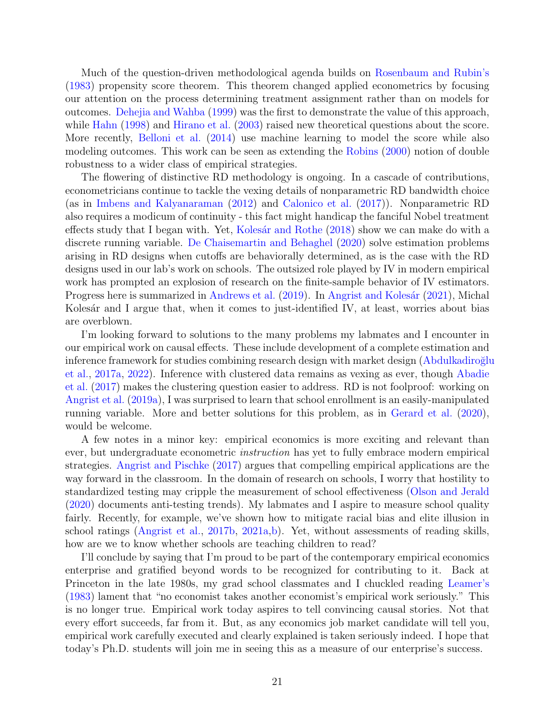Much of the question-driven methodological agenda builds on [Rosenbaum and Rubin'](#page-30-8)s [\(1983\)](#page-30-8) propensity score theorem. This theorem changed applied econometrics by focusing our attention on the process determining treatment assignment rather than on models for outcomes. [Dehejia and Wahba](#page-28-11) [\(1999\)](#page-28-11) was the first to demonstrate the value of this approach, while [Hahn](#page-28-12) [\(1998\)](#page-28-12) and [Hirano et al.](#page-29-14) [\(2003\)](#page-29-14) raised new theoretical questions about the score. More recently, [Belloni et al.](#page-27-12) [\(2014\)](#page-27-12) use machine learning to model the score while also modeling outcomes. This work can be seen as extending the [Robins](#page-30-9) [\(2000\)](#page-30-9) notion of double robustness to a wider class of empirical strategies.

The flowering of distinctive RD methodology is ongoing. In a cascade of contributions, econometricians continue to tackle the vexing details of nonparametric RD bandwidth choice (as in [Imbens and Kalyanaraman](#page-29-5) [\(2012\)](#page-29-5) and [Calonico et al.](#page-27-13) [\(2017\)](#page-27-13)). Nonparametric RD also requires a modicum of continuity - this fact might handicap the fanciful Nobel treatment effects study that I began with. Yet, Kolesár and Rothe [\(2018\)](#page-29-15) show we can make do with a discrete running variable. [De Chaisemartin and Behaghel](#page-28-13) [\(2020\)](#page-28-13) solve estimation problems arising in RD designs when cutoffs are behaviorally determined, as is the case with the RD designs used in our lab's work on schools. The outsized role played by IV in modern empirical work has prompted an explosion of research on the finite-sample behavior of IV estimators. Progress here is summarized in [Andrews et al.](#page-24-10) [\(2019\)](#page-24-10). In Angrist and Kolesár [\(2021\)](#page-24-11), Michal Kolesár and I argue that, when it comes to just-identified IV, at least, worries about bias are overblown.

I'm looking forward to solutions to the many problems my labmates and I encounter in our empirical work on causal effects. These include development of a complete estimation and inference framework for studies combining research design with market design (Abdulkadiroğlu [et al.,](#page-24-0) [2017a,](#page-24-0) [2022\)](#page-24-1). Inference with clustered data remains as vexing as ever, though [Abadie](#page-24-12) [et al.](#page-24-12) [\(2017\)](#page-24-12) makes the clustering question easier to address. RD is not foolproof: working on [Angrist et al.](#page-26-5) [\(2019a\)](#page-26-5), I was surprised to learn that school enrollment is an easily-manipulated running variable. More and better solutions for this problem, as in [Gerard et al.](#page-28-14) [\(2020\)](#page-28-14), would be welcome.

A few notes in a minor key: empirical economics is more exciting and relevant than ever, but undergraduate econometric *instruction* has yet to fully embrace modern empirical strategies. [Angrist and Pischke](#page-26-14) [\(2017\)](#page-26-14) argues that compelling empirical applications are the way forward in the classroom. In the domain of research on schools, I worry that hostility to standardized testing may cripple the measurement of school effectiveness [\(Olson and Jerald](#page-30-10) [\(2020\)](#page-30-10) documents anti-testing trends). My labmates and I aspire to measure school quality fairly. Recently, for example, we've shown how to mitigate racial bias and elite illusion in school ratings [\(Angrist et al.,](#page-25-10) [2017b,](#page-25-10) [2021a,](#page-25-11)[b\)](#page-25-12). Yet, without assessments of reading skills, how are we to know whether schools are teaching children to read?

I'll conclude by saying that I'm proud to be part of the contemporary empirical economics enterprise and gratified beyond words to be recognized for contributing to it. Back at Princeton in the late 1980s, my grad school classmates and I chuckled reading [Leamer'](#page-29-16)s [\(1983\)](#page-29-16) lament that "no economist takes another economist's empirical work seriously." This is no longer true. Empirical work today aspires to tell convincing causal stories. Not that every effort succeeds, far from it. But, as any economics job market candidate will tell you, empirical work carefully executed and clearly explained is taken seriously indeed. I hope that today's Ph.D. students will join me in seeing this as a measure of our enterprise's success.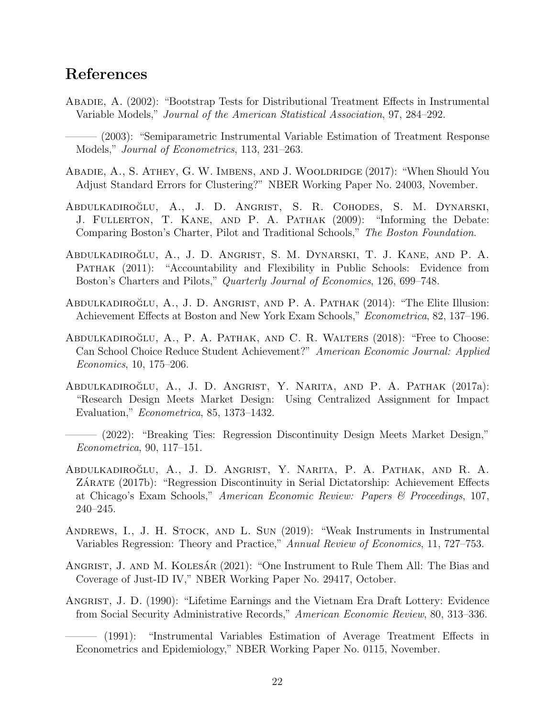# <span id="page-24-13"></span>References

- <span id="page-24-8"></span>Abadie, A. (2002): "Bootstrap Tests for Distributional Treatment Effects in Instrumental Variable Models," Journal of the American Statistical Association, 97, 284–292.
- <span id="page-24-9"></span>– (2003): "Semiparametric Instrumental Variable Estimation of Treatment Response Models," Journal of Econometrics, 113, 231–263.
- <span id="page-24-12"></span>ABADIE, A., S. ATHEY, G. W. IMBENS, AND J. WOOLDRIDGE (2017): "When Should You Adjust Standard Errors for Clustering?" NBER Working Paper No. 24003, November.
- <span id="page-24-6"></span>ABDULKADIROĞLU, A., J. D. ANGRIST, S. R. COHODES, S. M. DYNARSKI, J. Fullerton, T. Kane, and P. A. Pathak (2009): "Informing the Debate: Comparing Boston's Charter, Pilot and Traditional Schools," The Boston Foundation.
- <span id="page-24-7"></span>Abdulkadiroglu, A., J. D. Angrist, S. M. Dynarski, T. J. Kane, and P. A. ˘ Pathak (2011): "Accountability and Flexibility in Public Schools: Evidence from Boston's Charters and Pilots," Quarterly Journal of Economics, 126, 699–748.
- <span id="page-24-2"></span>ABDULKADIROĞLU, A., J. D. ANGRIST, AND P. A. PATHAK  $(2014)$ : "The Elite Illusion: Achievement Effects at Boston and New York Exam Schools," Econometrica, 82, 137–196.
- ABDULKADIROĞLU, A., P. A. PATHAK, AND C. R. WALTERS (2018): "Free to Choose: Can School Choice Reduce Student Achievement?" American Economic Journal: Applied Economics, 10, 175–206.
- <span id="page-24-0"></span>ABDULKADIROĞLU, A., J. D. ANGRIST, Y. NARITA, AND P. A. PATHAK (2017a): "Research Design Meets Market Design: Using Centralized Assignment for Impact Evaluation," Econometrica, 85, 1373–1432.
- <span id="page-24-1"></span>– (2022): "Breaking Ties: Regression Discontinuity Design Meets Market Design," Econometrica, 90, 117–151.
- <span id="page-24-3"></span>ABDULKADIROĞLU, A., J. D. ANGRIST, Y. NARITA, P. A. PATHAK, AND R. A. ZÁRATE (2017b): "Regression Discontinuity in Serial Dictatorship: Achievement Effects at Chicago's Exam Schools," American Economic Review: Papers & Proceedings, 107, 240–245.
- <span id="page-24-10"></span>Andrews, I., J. H. Stock, and L. Sun (2019): "Weak Instruments in Instrumental Variables Regression: Theory and Practice," Annual Review of Economics, 11, 727–753.
- <span id="page-24-11"></span>ANGRIST, J. AND M. KOLESÁR (2021): "One Instrument to Rule Them All: The Bias and Coverage of Just-ID IV," NBER Working Paper No. 29417, October.
- <span id="page-24-4"></span>Angrist, J. D. (1990): "Lifetime Earnings and the Vietnam Era Draft Lottery: Evidence from Social Security Administrative Records," American Economic Review, 80, 313–336.

<span id="page-24-5"></span><sup>——— (1991): &</sup>quot;Instrumental Variables Estimation of Average Treatment Effects in Econometrics and Epidemiology," NBER Working Paper No. 0115, November.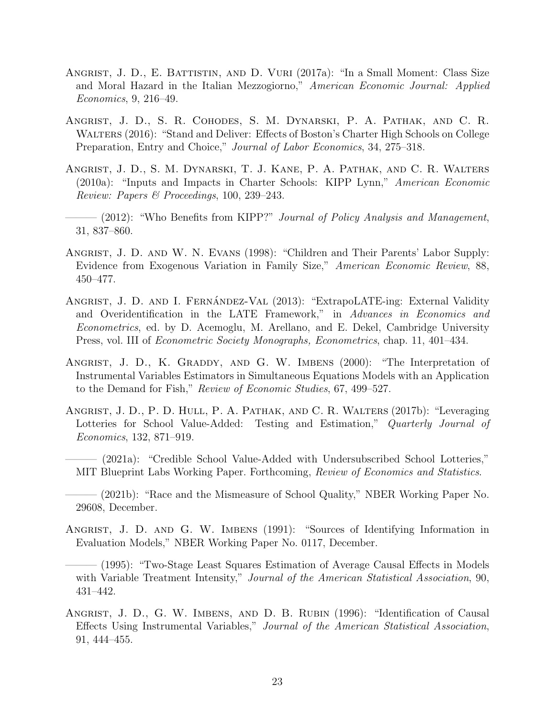- <span id="page-25-0"></span>Angrist, J. D., E. Battistin, and D. Vuri (2017a): "In a Small Moment: Class Size and Moral Hazard in the Italian Mezzogiorno," American Economic Journal: Applied Economics, 9, 216–49.
- <span id="page-25-9"></span>Angrist, J. D., S. R. Cohodes, S. M. Dynarski, P. A. Pathak, and C. R. Walters (2016): "Stand and Deliver: Effects of Boston's Charter High Schools on College Preparation, Entry and Choice," Journal of Labor Economics, 34, 275–318.
- <span id="page-25-5"></span>Angrist, J. D., S. M. Dynarski, T. J. Kane, P. A. Pathak, and C. R. Walters (2010a): "Inputs and Impacts in Charter Schools: KIPP Lynn," American Economic Review: Papers & Proceedings, 100, 239–243.
- <span id="page-25-6"></span>– (2012): "Who Benefits from KIPP?" Journal of Policy Analysis and Management, 31, 837–860.
- <span id="page-25-7"></span>ANGRIST, J. D. AND W. N. EVANS (1998): "Children and Their Parents' Labor Supply: Evidence from Exogenous Variation in Family Size," American Economic Review, 88, 450–477.
- <span id="page-25-8"></span>ANGRIST, J. D. AND I. FERNÁNDEZ-VAL (2013): "ExtrapoLATE-ing: External Validity and Overidentification in the LATE Framework," in Advances in Economics and Econometrics, ed. by D. Acemoglu, M. Arellano, and E. Dekel, Cambridge University Press, vol. III of Econometric Society Monographs, Econometrics, chap. 11, 401–434.
- <span id="page-25-4"></span>ANGRIST, J. D., K. GRADDY, AND G. W. IMBENS (2000): "The Interpretation of Instrumental Variables Estimators in Simultaneous Equations Models with an Application to the Demand for Fish," Review of Economic Studies, 67, 499–527.
- <span id="page-25-10"></span>Angrist, J. D., P. D. Hull, P. A. Pathak, and C. R. Walters (2017b): "Leveraging Lotteries for School Value-Added: Testing and Estimation," Quarterly Journal of Economics, 132, 871–919.
- <span id="page-25-11"></span>——— (2021a): "Credible School Value-Added with Undersubscribed School Lotteries," MIT Blueprint Labs Working Paper. Forthcoming, Review of Economics and Statistics.
- <span id="page-25-12"></span>- (2021b): "Race and the Mismeasure of School Quality," NBER Working Paper No. 29608, December.
- <span id="page-25-1"></span>Angrist, J. D. and G. W. Imbens (1991): "Sources of Identifying Information in Evaluation Models," NBER Working Paper No. 0117, December.
- <span id="page-25-3"></span>——— (1995): "Two-Stage Least Squares Estimation of Average Causal Effects in Models with Variable Treatment Intensity," Journal of the American Statistical Association, 90, 431–442.
- <span id="page-25-2"></span>ANGRIST, J. D., G. W. IMBENS, AND D. B. RUBIN (1996): "Identification of Causal Effects Using Instrumental Variables," Journal of the American Statistical Association, 91, 444–455.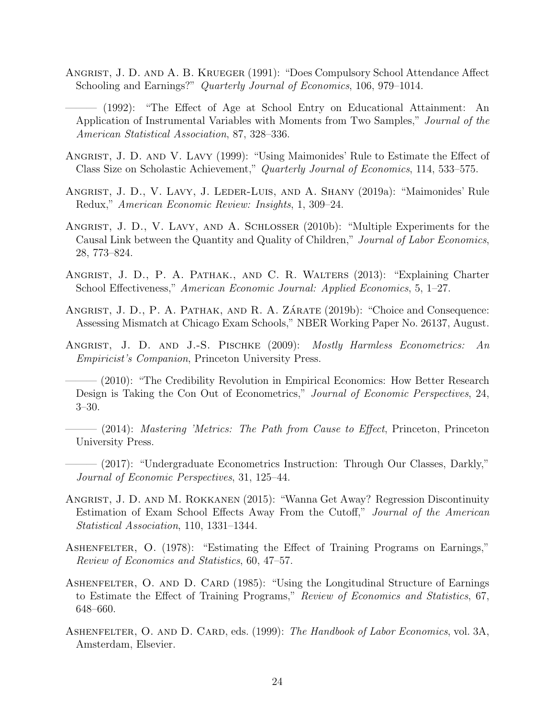<span id="page-26-8"></span>Angrist, J. D. and A. B. Krueger (1991): "Does Compulsory School Attendance Affect Schooling and Earnings?" Quarterly Journal of Economics, 106, 979–1014.

<span id="page-26-9"></span>——— (1992): "The Effect of Age at School Entry on Educational Attainment: An Application of Instrumental Variables with Moments from Two Samples," Journal of the American Statistical Association, 87, 328–336.

- <span id="page-26-4"></span>Angrist, J. D. and V. Lavy (1999): "Using Maimonides' Rule to Estimate the Effect of Class Size on Scholastic Achievement," Quarterly Journal of Economics, 114, 533–575.
- <span id="page-26-5"></span>Angrist, J. D., V. Lavy, J. Leder-Luis, and A. Shany (2019a): "Maimonides' Rule Redux," American Economic Review: Insights, 1, 309–24.
- <span id="page-26-12"></span>Angrist, J. D., V. Lavy, and A. Schlosser (2010b): "Multiple Experiments for the Causal Link between the Quantity and Quality of Children," Journal of Labor Economics, 28, 773–824.
- <span id="page-26-11"></span>Angrist, J. D., P. A. Pathak., and C. R. Walters (2013): "Explaining Charter School Effectiveness," American Economic Journal: Applied Economics, 5, 1–27.
- <span id="page-26-6"></span>ANGRIST, J. D., P. A. PATHAK, AND R. A. ZÁRATE (2019b): "Choice and Consequence: Assessing Mismatch at Chicago Exam Schools," NBER Working Paper No. 26137, August.
- <span id="page-26-3"></span>ANGRIST, J. D. AND J.-S. PISCHKE (2009): Mostly Harmless Econometrics: An Empiricist's Companion, Princeton University Press.
- <span id="page-26-13"></span>– (2010): "The Credibility Revolution in Empirical Economics: How Better Research Design is Taking the Con Out of Econometrics," Journal of Economic Perspectives, 24, 3–30.
- <span id="page-26-10"></span> $-$  (2014): Mastering 'Metrics: The Path from Cause to Effect, Princeton, Princeton University Press.
- <span id="page-26-14"></span>– (2017): "Undergraduate Econometrics Instruction: Through Our Classes, Darkly," Journal of Economic Perspectives, 31, 125–44.
- <span id="page-26-7"></span>Angrist, J. D. and M. Rokkanen (2015): "Wanna Get Away? Regression Discontinuity Estimation of Exam School Effects Away From the Cutoff," Journal of the American Statistical Association, 110, 1331–1344.
- <span id="page-26-1"></span>ASHENFELTER, O. (1978): "Estimating the Effect of Training Programs on Earnings," Review of Economics and Statistics, 60, 47–57.
- <span id="page-26-2"></span>ASHENFELTER, O. AND D. CARD (1985): "Using the Longitudinal Structure of Earnings to Estimate the Effect of Training Programs," Review of Economics and Statistics, 67, 648–660.
- <span id="page-26-0"></span>ASHENFELTER, O. AND D. CARD, eds. (1999): The Handbook of Labor Economics, vol. 3A, Amsterdam, Elsevier.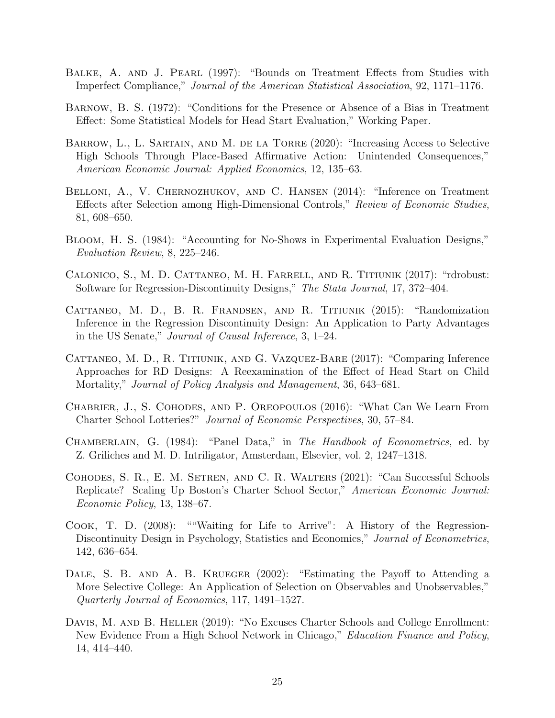- <span id="page-27-11"></span>BALKE, A. AND J. PEARL (1997): "Bounds on Treatment Effects from Studies with Imperfect Compliance," Journal of the American Statistical Association, 92, 1171–1176.
- <span id="page-27-0"></span>Barnow, B. S. (1972): "Conditions for the Presence or Absence of a Bias in Treatment Effect: Some Statistical Models for Head Start Evaluation," Working Paper.
- <span id="page-27-4"></span>BARROW, L., L. SARTAIN, AND M. DE LA TORRE (2020): "Increasing Access to Selective High Schools Through Place-Based Affirmative Action: Unintended Consequences," American Economic Journal: Applied Economics, 12, 135–63.
- <span id="page-27-12"></span>BELLONI, A., V. CHERNOZHUKOV, AND C. HANSEN (2014): "Inference on Treatment Effects after Selection among High-Dimensional Controls," Review of Economic Studies, 81, 608–650.
- <span id="page-27-5"></span>Bloom, H. S. (1984): "Accounting for No-Shows in Experimental Evaluation Designs," Evaluation Review, 8, 225–246.
- <span id="page-27-13"></span>Calonico, S., M. D. Cattaneo, M. H. Farrell, and R. Titiunik (2017): "rdrobust: Software for Regression-Discontinuity Designs," The Stata Journal, 17, 372–404.
- <span id="page-27-2"></span>Cattaneo, M. D., B. R. Frandsen, and R. Titiunik (2015): "Randomization Inference in the Regression Discontinuity Design: An Application to Party Advantages in the US Senate," Journal of Causal Inference, 3, 1–24.
- <span id="page-27-3"></span>Cattaneo, M. D., R. Titiunik, and G. Vazquez-Bare (2017): "Comparing Inference Approaches for RD Designs: A Reexamination of the Effect of Head Start on Child Mortality," Journal of Policy Analysis and Management, 36, 643–681.
- <span id="page-27-9"></span>Chabrier, J., S. Cohodes, and P. Oreopoulos (2016): "What Can We Learn From Charter School Lotteries?" Journal of Economic Perspectives, 30, 57–84.
- <span id="page-27-7"></span>Chamberlain, G. (1984): "Panel Data," in The Handbook of Econometrics, ed. by Z. Griliches and M. D. Intriligator, Amsterdam, Elsevier, vol. 2, 1247–1318.
- <span id="page-27-8"></span>Cohodes, S. R., E. M. Setren, and C. R. Walters (2021): "Can Successful Schools Replicate? Scaling Up Boston's Charter School Sector," American Economic Journal: Economic Policy, 13, 138–67.
- <span id="page-27-1"></span>Cook, T. D. (2008): ""Waiting for Life to Arrive": A History of the Regression-Discontinuity Design in Psychology, Statistics and Economics," Journal of Econometrics, 142, 636–654.
- <span id="page-27-6"></span>DALE, S. B. AND A. B. KRUEGER (2002): "Estimating the Payoff to Attending a More Selective College: An Application of Selection on Observables and Unobservables," Quarterly Journal of Economics, 117, 1491–1527.
- <span id="page-27-10"></span>DAVIS, M. AND B. HELLER (2019): "No Excuses Charter Schools and College Enrollment: New Evidence From a High School Network in Chicago," Education Finance and Policy, 14, 414–440.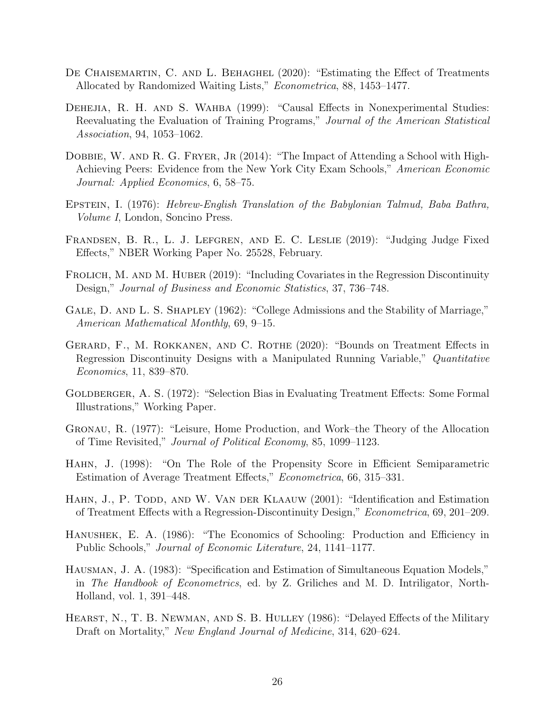- <span id="page-28-13"></span>DE CHAISEMARTIN, C. AND L. BEHAGHEL (2020): "Estimating the Effect of Treatments Allocated by Randomized Waiting Lists," Econometrica, 88, 1453–1477.
- <span id="page-28-11"></span>DEHEJIA, R. H. AND S. WAHBA (1999): "Causal Effects in Nonexperimental Studies: Reevaluating the Evaluation of Training Programs," Journal of the American Statistical Association, 94, 1053–1062.
- <span id="page-28-7"></span>DOBBIE, W. AND R. G. FRYER, JR (2014): "The Impact of Attending a School with High-Achieving Peers: Evidence from the New York City Exam Schools," American Economic Journal: Applied Economics, 6, 58–75.
- <span id="page-28-3"></span>Epstein, I. (1976): Hebrew-English Translation of the Babylonian Talmud, Baba Bathra, Volume I, London, Soncino Press.
- <span id="page-28-10"></span>Frandsen, B. R., L. J. Lefgren, and E. C. Leslie (2019): "Judging Judge Fixed Effects," NBER Working Paper No. 25528, February.
- <span id="page-28-5"></span>FROLICH, M. AND M. HUBER (2019): "Including Covariates in the Regression Discontinuity Design," Journal of Business and Economic Statistics, 37, 736–748.
- <span id="page-28-6"></span>GALE, D. AND L. S. SHAPLEY (1962): "College Admissions and the Stability of Marriage," American Mathematical Monthly, 69, 9–15.
- <span id="page-28-14"></span>Gerard, F., M. Rokkanen, and C. Rothe (2020): "Bounds on Treatment Effects in Regression Discontinuity Designs with a Manipulated Running Variable," Quantitative Economics, 11, 839–870.
- <span id="page-28-1"></span>GOLDBERGER, A. S. (1972): "Selection Bias in Evaluating Treatment Effects: Some Formal Illustrations," Working Paper.
- <span id="page-28-9"></span>Gronau, R. (1977): "Leisure, Home Production, and Work–the Theory of the Allocation of Time Revisited," Journal of Political Economy, 85, 1099–1123.
- <span id="page-28-12"></span>Hahn, J. (1998): "On The Role of the Propensity Score in Efficient Semiparametric Estimation of Average Treatment Effects," Econometrica, 66, 315–331.
- <span id="page-28-4"></span>HAHN, J., P. TODD, AND W. VAN DER KLAAUW (2001): "Identification and Estimation of Treatment Effects with a Regression-Discontinuity Design," Econometrica, 69, 201–209.
- <span id="page-28-2"></span>Hanushek, E. A. (1986): "The Economics of Schooling: Production and Efficiency in Public Schools," Journal of Economic Literature, 24, 1141–1177.
- <span id="page-28-8"></span>Hausman, J. A. (1983): "Specification and Estimation of Simultaneous Equation Models," in The Handbook of Econometrics, ed. by Z. Griliches and M. D. Intriligator, North-Holland, vol. 1, 391–448.
- <span id="page-28-0"></span>HEARST, N., T. B. NEWMAN, AND S. B. HULLEY (1986): "Delayed Effects of the Military Draft on Mortality," New England Journal of Medicine, 314, 620–624.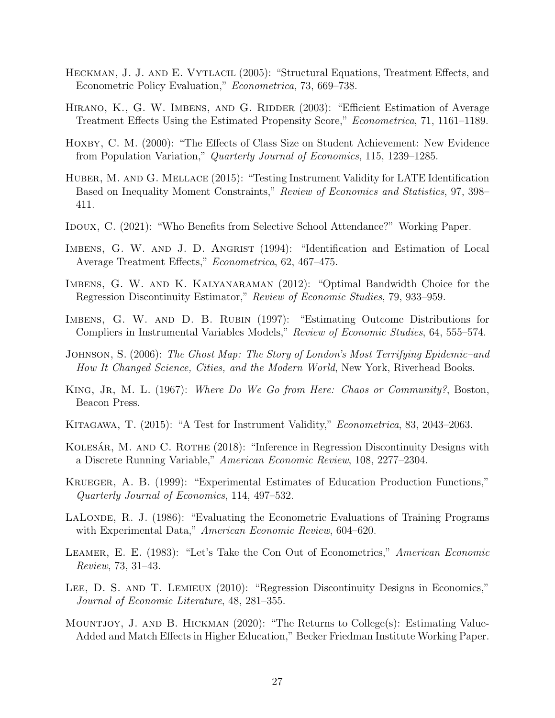- <span id="page-29-17"></span><span id="page-29-11"></span>Heckman, J. J. and E. Vytlacil (2005): "Structural Equations, Treatment Effects, and Econometric Policy Evaluation," Econometrica, 73, 669–738.
- <span id="page-29-14"></span>HIRANO, K., G. W. IMBENS, AND G. RIDDER (2003): "Efficient Estimation of Average Treatment Effects Using the Estimated Propensity Score," Econometrica, 71, 1161–1189.
- <span id="page-29-4"></span>HOXBY, C. M. (2000): "The Effects of Class Size on Student Achievement: New Evidence from Population Variation," Quarterly Journal of Economics, 115, 1239–1285.
- <span id="page-29-13"></span>HUBER, M. AND G. MELLACE (2015): "Testing Instrument Validity for LATE Identification Based on Inequality Moment Constraints," Review of Economics and Statistics, 97, 398– 411.
- <span id="page-29-6"></span>IDOUX, C. (2021): "Who Benefits from Selective School Attendance?" Working Paper.
- <span id="page-29-8"></span>IMBENS, G. W. AND J. D. ANGRIST (1994): "Identification and Estimation of Local Average Treatment Effects," Econometrica, 62, 467–475.
- <span id="page-29-5"></span>Imbens, G. W. and K. Kalyanaraman (2012): "Optimal Bandwidth Choice for the Regression Discontinuity Estimator," Review of Economic Studies, 79, 933–959.
- <span id="page-29-10"></span>Imbens, G. W. and D. B. Rubin (1997): "Estimating Outcome Distributions for Compliers in Instrumental Variables Models," Review of Economic Studies, 64, 555–574.
- <span id="page-29-1"></span>Johnson, S. (2006): The Ghost Map: The Story of London's Most Terrifying Epidemic–and How It Changed Science, Cities, and the Modern World, New York, Riverhead Books.
- <span id="page-29-9"></span>KING, JR, M. L. (1967): Where Do We Go from Here: Chaos or Community?, Boston, Beacon Press.
- <span id="page-29-12"></span>Kitagawa, T. (2015): "A Test for Instrument Validity," Econometrica, 83, 2043–2063.
- <span id="page-29-15"></span>KOLESÁR, M. AND C. ROTHE (2018): "Inference in Regression Discontinuity Designs with a Discrete Running Variable," American Economic Review, 108, 2277–2304.
- <span id="page-29-3"></span>Krueger, A. B. (1999): "Experimental Estimates of Education Production Functions," Quarterly Journal of Economics, 114, 497–532.
- <span id="page-29-0"></span>LALONDE, R. J. (1986): "Evaluating the Econometric Evaluations of Training Programs with Experimental Data," American Economic Review, 604–620.
- <span id="page-29-16"></span>LEAMER, E. E. (1983): "Let's Take the Con Out of Econometrics," American Economic Review, 73, 31–43.
- <span id="page-29-2"></span>LEE, D. S. AND T. LEMIEUX (2010): "Regression Discontinuity Designs in Economics," Journal of Economic Literature, 48, 281–355.
- <span id="page-29-7"></span>Mountjoy, J. and B. Hickman (2020): "The Returns to College(s): Estimating Value-Added and Match Effects in Higher Education," Becker Friedman Institute Working Paper.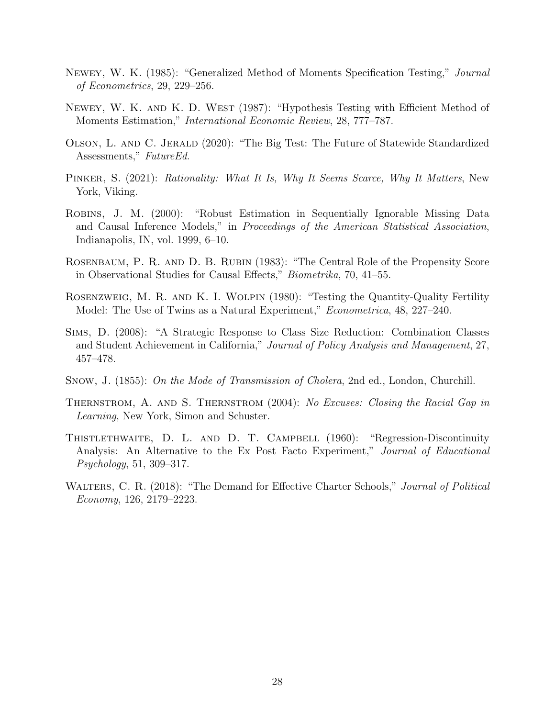- <span id="page-30-11"></span><span id="page-30-4"></span>Newey, W. K. (1985): "Generalized Method of Moments Specification Testing," Journal of Econometrics, 29, 229–256.
- <span id="page-30-5"></span>Newey, W. K. and K. D. West (1987): "Hypothesis Testing with Efficient Method of Moments Estimation," International Economic Review, 28, 777–787.
- <span id="page-30-10"></span>Olson, L. and C. Jerald (2020): "The Big Test: The Future of Statewide Standardized Assessments," FutureEd.
- <span id="page-30-3"></span>PINKER, S. (2021): Rationality: What It Is, Why It Seems Scarce, Why It Matters, New York, Viking.
- <span id="page-30-9"></span>Robins, J. M. (2000): "Robust Estimation in Sequentially Ignorable Missing Data and Causal Inference Models," in Proceedings of the American Statistical Association, Indianapolis, IN, vol. 1999, 6–10.
- <span id="page-30-8"></span>Rosenbaum, P. R. and D. B. Rubin (1983): "The Central Role of the Propensity Score in Observational Studies for Causal Effects," Biometrika, 70, 41–55.
- <span id="page-30-7"></span>Rosenzweig, M. R. and K. I. Wolpin (1980): "Testing the Quantity-Quality Fertility Model: The Use of Twins as a Natural Experiment," *Econometrica*, 48, 227–240.
- <span id="page-30-2"></span>Sims, D. (2008): "A Strategic Response to Class Size Reduction: Combination Classes and Student Achievement in California," Journal of Policy Analysis and Management, 27, 457–478.
- <span id="page-30-0"></span>Snow, J. (1855): On the Mode of Transmission of Cholera, 2nd ed., London, Churchill.
- <span id="page-30-6"></span>Thernstrom, A. and S. Thernstrom (2004): No Excuses: Closing the Racial Gap in Learning, New York, Simon and Schuster.
- <span id="page-30-1"></span>Thistlethwaite, D. L. and D. T. Campbell (1960): "Regression-Discontinuity Analysis: An Alternative to the Ex Post Facto Experiment," Journal of Educational Psychology, 51, 309–317.
- WALTERS, C. R. (2018): "The Demand for Effective Charter Schools," Journal of Political Economy, 126, 2179–2223.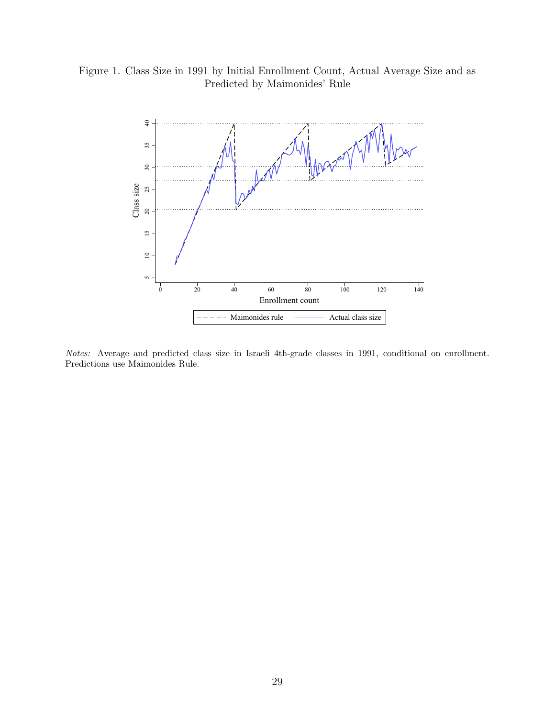## <span id="page-31-0"></span>Figure 1. Class Size in 1991 by Initial Enrollment Count, Actual Average Size and as Predicted by Maimonides' Rule



Notes: Average and predicted class size in Israeli 4th-grade classes in 1991, conditional on enrollment. Predictions use Maimonides Rule.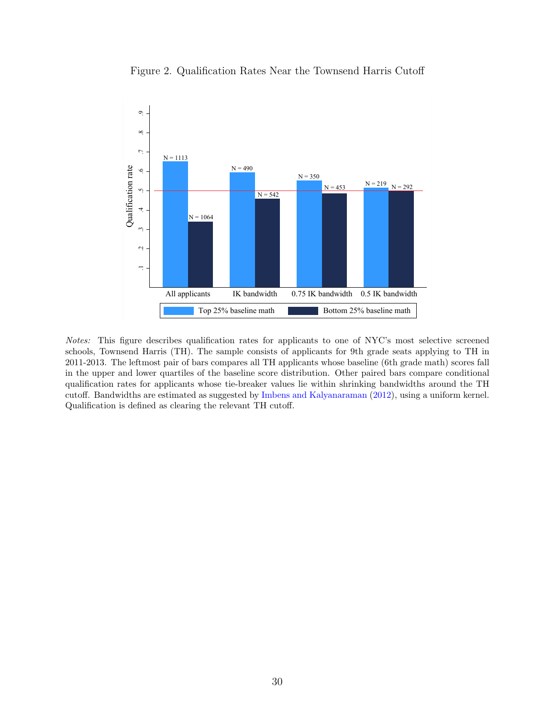<span id="page-32-0"></span>

Figure 2. Qualification Rates Near the Townsend Harris Cutoff

Notes: This figure describes qualification rates for applicants to one of NYC's most selective screened schools, Townsend Harris (TH). The sample consists of applicants for 9th grade seats applying to TH in 2011-2013. The leftmost pair of bars compares all TH applicants whose baseline (6th grade math) scores fall in the upper and lower quartiles of the baseline score distribution. Other paired bars compare conditional qualification rates for applicants whose tie-breaker values lie within shrinking bandwidths around the TH cutoff. Bandwidths are estimated as suggested by [Imbens and Kalyanaraman](#page-29-5) [\(2012\)](#page-29-5), using a uniform kernel. Qualification is defined as clearing the relevant TH cutoff.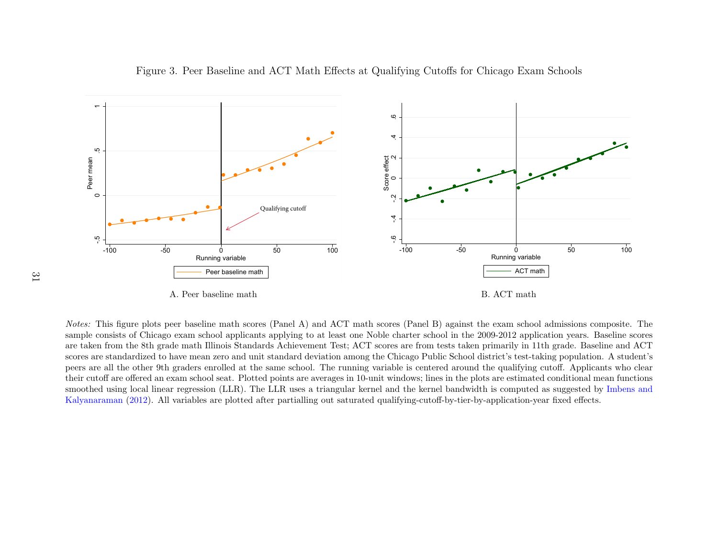

<span id="page-33-0"></span>Figure 3. Peer Baseline and ACT Math Effects at Qualifying Cutoffs for Chicago Exam Schools

A. Peer baseline math

B. ACT math

Notes: This figure <sup>p</sup>lots peer baseline math scores (Panel A) and ACT math scores (Panel B) against the exam school admissions composite. The sample consists of Chicago exam school applicants applying to at least one Noble charter school in the 2009-2012 application years. Baseline scores are taken from the 8th grade math Illinois Standards Achievement Test; ACT scores are from tests taken primarily in 11th grade. Baseline and ACT scores are standardized to have mean zero and unit standard deviation among the Chicago Public School district's test-taking population. A student's peers are all the other 9th graders enrolled at the same school. The running variable is centered around the qualifying cutoff. Applicants who clear their cutoff are offered an exam school seat. Plotted points are averages in 10-unit windows; lines in the <sup>p</sup>lots are estimated conditional mean functions smoothed using local linear regression (LLR). The LLR uses <sup>a</sup> triangular kernel and the kernel bandwidth is computed as suggested by [Imbens](#page-29-17) and[Kalyanaraman](#page-29-17) [\(2012\)](#page-29-17). All variables are <sup>p</sup>lotted after partialling out saturated qualifying-cutoff-by-tier-by-application-year fixed effects.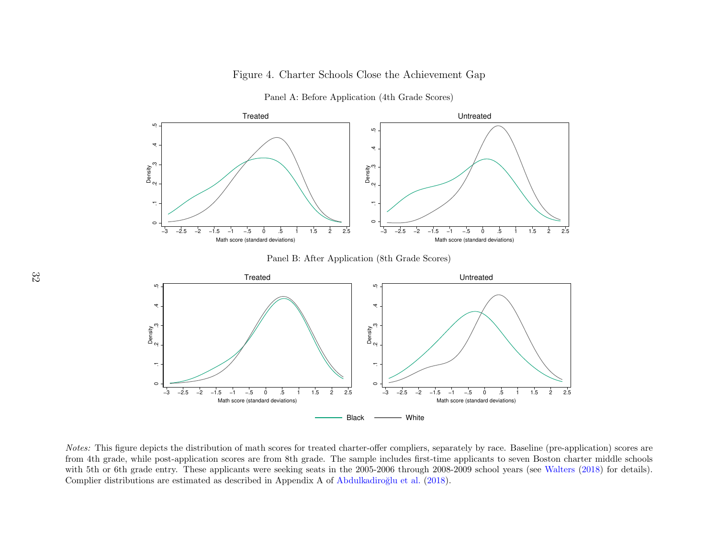## <span id="page-34-0"></span>Figure 4. Charter Schools Close the Achievement Gap



Panel A: Before Application (4th Grade Scores)

Notes: This figure depicts the distribution of math scores for treated charter-offer compliers, separately by race. Baseline (pre-application) scores are from 4th grade, while post-application scores are from 8th grade. The sample includes first-time applicants to seven Boston charter middle schools with 5th or 6th grade entry. These applicants were seeking seats in the 2005-2006 through 2008-2009 school years (see [Walters](#page-30-11) [\(2018\)](#page-30-11) for details). Complier distributions are estimated as described in Appendix A of Abdulkadiroğlu et al. [\(2018\)](#page-24-13).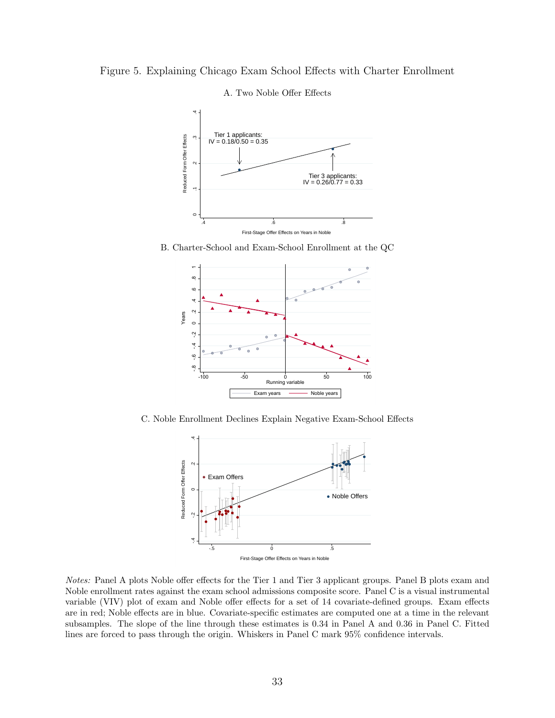<span id="page-35-0"></span>



A. Two Noble Offer Effects

B. Charter-School and Exam-School Enrollment at the QC



C. Noble Enrollment Declines Explain Negative Exam-School Effects



Notes: Panel A plots Noble offer effects for the Tier 1 and Tier 3 applicant groups. Panel B plots exam and Noble enrollment rates against the exam school admissions composite score. Panel C is a visual instrumental variable (VIV) plot of exam and Noble offer effects for a set of 14 covariate-defined groups. Exam effects are in red; Noble effects are in blue. Covariate-specific estimates are computed one at a time in the relevant subsamples. The slope of the line through these estimates is 0.34 in Panel A and 0.36 in Panel C. Fitted lines are forced to pass through the origin. Whiskers in Panel C mark 95% confidence intervals.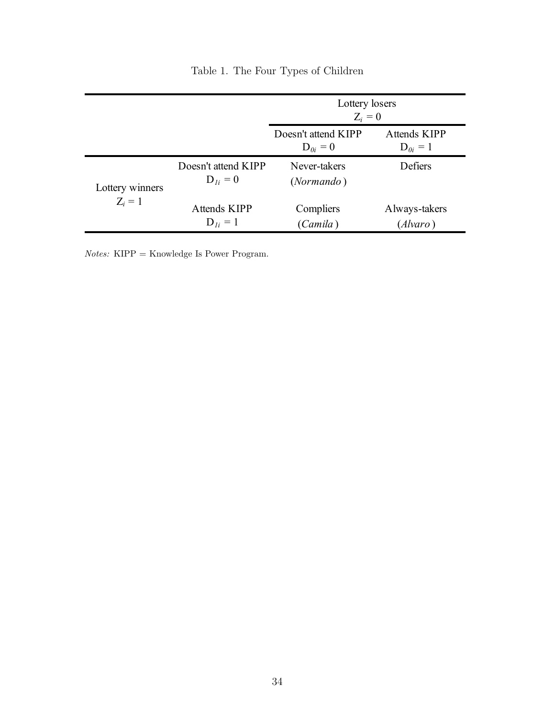<span id="page-36-0"></span>

|                              |                                     | Lottery losers<br>$Z_i=0$           |                              |  |
|------------------------------|-------------------------------------|-------------------------------------|------------------------------|--|
|                              |                                     | Doesn't attend KIPP<br>$D_{0i} = 0$ | Attends KIPP<br>$D_{0i} = 1$ |  |
| Lottery winners<br>$Z_i = 1$ | Doesn't attend KIPP<br>$D_{li} = 0$ | Never-takers<br>( <i>Normando</i> ) | Defiers                      |  |
|                              | Attends KIPP<br>$D_{1i} = 1$        | Compliers<br>(Camila)               | Always-takers<br>(Alvaro)    |  |

Table 1. The Four Types of Children

Notes: KIPP = Knowledge Is Power Program.